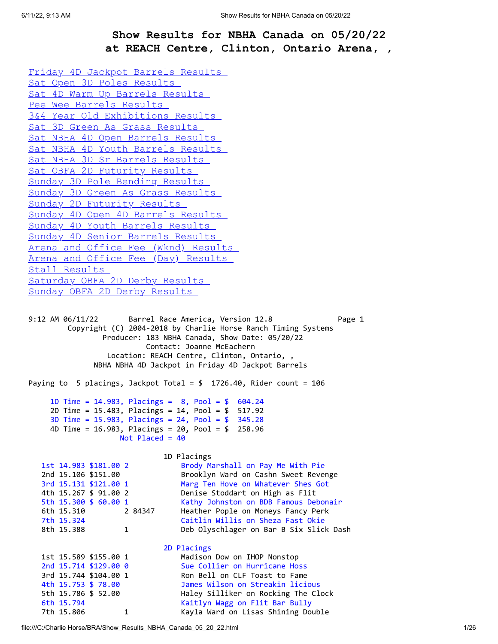## **Show Results for NBHA Canada on 05/20/22 at REACH Centre, Clinton, Ontario Arena, ,**

<span id="page-0-0"></span>[Friday 4D Jackpot Barrels Results](#page-0-0)  [Sat Open 3D Poles Results](#page-2-0)  [Sat 4D Warm Up Barrels Results](#page-3-0)  [Pee Wee Barrels Results](#page-6-0)  [3&4 Year Old Exhibitions Results](#page-6-1)  [Sat 3D Green As Grass Results](#page-6-2)  [Sat NBHA 4D Open Barrels Results](#page-7-0)  [Sat NBHA 4D Youth Barrels Results](#page-10-0)  [Sat NBHA 3D Sr Barrels Results](#page-11-0)  [Sat OBFA 2D Futurity Results](#page-12-0)  [Sunday 3D Pole Bending Results](#page-13-0)  [Sunday 3D Green As Grass Results](#page-14-0)  [Sunday 2D Futurity Results](#page-14-1)  [Sunday 4D Open 4D Barrels Results](#page-15-0)  [Sunday 4D Youth Barrels Results](#page-18-0)  [Sunday 4D Senior Barrels Results](#page-19-0)  [Arena and Office Fee \(Wknd\) Results](#page-19-1)  [Arena and Office Fee \(Day\) Results](#page-23-0)  [Stall Results](#page-24-0)  [Saturday OBFA 2D Derby Results](#page-24-1)  [Sunday OBFA 2D Derby Results](#page-25-0)  9:12 AM 06/11/22 Barrel Race America, Version 12.8 Page 1 Copyright (C) 2004-2018 by Charlie Horse Ranch Timing Systems Producer: 183 NBHA Canada, Show Date: 05/20/22 Contact: Joanne McEachern Location: REACH Centre, Clinton, Ontario, , NBHA NBHA 4D Jackpot in Friday 4D Jackpot Barrels Paying to 5 placings, Jackpot Total = \$ 1726.40, Rider count = 106 1D Time = 14.983, Placings = 8, Pool = \$ 604.24 2D Time = 15.483, Placings = 14, Pool = \$ 517.92 3D Time = 15.983, Placings = 24, Pool = \$ 345.28 4D Time = 16.983, Placings = 20, Pool = \$ 258.96 Not Placed = 40 1D Placings 1st 14.983 \$181.00 2 Brody Marshall on Pay Me With Pie 2nd 15.106 \$151.00 Brooklyn Ward on Cashn Sweet Revenge 3rd 15.131 \$121.00 1 Marg Ten Hove on Whatever Shes Got 4th 15.267 \$ 91.00 2 Denise Stoddart on High as Flit 5th 15.300 \$ 60.00 1 Kathy Johnston on BDB Famous Debonair 6th 15.310 2 84347 Heather Pople on Moneys Fancy Perk 7th 15.324 Caitlin Willis on Sheza Fast Okie 8th 15.388 1 Deb Olyschlager on Bar B Six Slick Dash 2D Placings 1st 15.589 \$155.00 1 Madison Dow on IHOP Nonstop 2nd 15.714 \$129.00 0 Sue Collier on Hurricane Hoss 3rd 15.744 \$104.00 1 Ron Bell on CLF Toast to Fame 4th 15.753 \$ 78.00 James Wilson on Streakin licious 5th 15.786 \$ 52.00 Haley Silliker on Rocking The Clock 6th 15.794 Kaitlyn Wagg on Flit Bar Bully

7th 15.806 1 Kayla Ward on Lisas Shining Double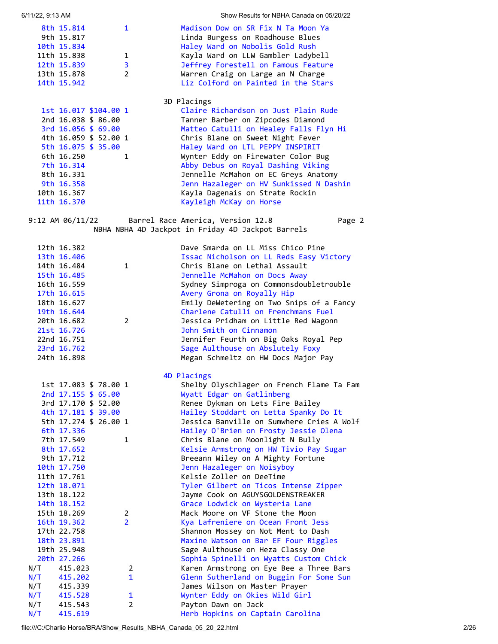| 8th 15.814<br>9th 15.817<br>10th 15.834 |                       | 1              | Madison Dow on SR Fix N Ta Moon Ya<br>Linda Burgess on Roadhouse Blues<br>Haley Ward on Nobolis Gold Rush |
|-----------------------------------------|-----------------------|----------------|-----------------------------------------------------------------------------------------------------------|
|                                         |                       |                |                                                                                                           |
| 11th 15.838                             |                       | 1              | Kayla Ward on LLW Gambler Ladybell                                                                        |
| 12th 15.839                             |                       | 3              | Jeffrey Forestell on Famous Feature                                                                       |
| 13th 15.878                             |                       | $\overline{2}$ | Warren Craig on Large an N Charge                                                                         |
| 14th 15.942                             |                       |                | Liz Colford on Painted in the Stars                                                                       |
|                                         |                       |                | 3D Placings                                                                                               |
|                                         | 1st 16.017 \$104.00 1 |                | Claire Richardson on Just Plain Rude                                                                      |
|                                         | 2nd 16.038 \$ 86.00   |                | Tanner Barber on Zipcodes Diamond                                                                         |
|                                         | 3rd $16.056$ \$ 69.00 |                | Matteo Catulli on Healey Falls Flyn Hi                                                                    |
|                                         | 4th 16.059 \$ 52.00 1 |                | Chris Blane on Sweet Night Fever                                                                          |
|                                         | 5th 16.075 \$ 35.00   |                | Haley Ward on LTL PEPPY INSPIRIT                                                                          |
| 6th 16.250                              |                       | 1              | Wynter Eddy on Firewater Color Bug                                                                        |
| 7th 16.314                              |                       |                | Abby Debus on Royal Dashing Viking                                                                        |
| 8th 16.331                              |                       |                | Jennelle McMahon on EC Greys Anatomy                                                                      |
| 9th 16.358                              |                       |                | Jenn Hazaleger on HV Sunkissed N Dashin                                                                   |
| 10th 16.367                             |                       |                | Kayla Dagenais on Strate Rockin                                                                           |
| 11th 16.370                             |                       |                | Kayleigh McKay on Horse                                                                                   |
|                                         |                       |                |                                                                                                           |

6/11/22, 9:13 AM Show Results for NBHA Canada on 05/20/22

## 9:12 AM 06/11/22 Barrel Race America, Version 12.8 Page 2 NBHA NBHA 4D Jackpot in Friday 4D Jackpot Barrels

|     | 12th 16.382<br>13th 16.406<br>14th 16.484<br>15th 16.485<br>16th 16.559<br>17th 16.615<br>18th 16.627<br>19th 16.644<br>20th 16.682<br>21st 16.726<br>22nd 16.751 | 1<br>$\overline{2}$              | Dave Smarda on LL Miss Chico Pine<br>Issac Nicholson on LL Reds Easy Victory<br>Chris Blane on Lethal Assault<br>Jennelle McMahon on Docs Away<br>Sydney Simproga on Commonsdoubletrouble<br>Avery Grona on Royally Hip<br>Emily DeWetering on Two Snips of a Fancy<br>Charlene Catulli on Frenchmans Fuel<br>Jessica Pridham on Little Red Wagonn<br>John Smith on Cinnamon<br>Jennifer Feurth on Big Oaks Royal Pep |
|-----|-------------------------------------------------------------------------------------------------------------------------------------------------------------------|----------------------------------|-----------------------------------------------------------------------------------------------------------------------------------------------------------------------------------------------------------------------------------------------------------------------------------------------------------------------------------------------------------------------------------------------------------------------|
|     | 23rd 16.762                                                                                                                                                       |                                  | Sage Aulthouse on Abslutely Foxy                                                                                                                                                                                                                                                                                                                                                                                      |
|     | 24th 16.898                                                                                                                                                       |                                  | Megan Schmeltz on HW Docs Major Pay                                                                                                                                                                                                                                                                                                                                                                                   |
|     |                                                                                                                                                                   |                                  | 4D Placings                                                                                                                                                                                                                                                                                                                                                                                                           |
|     | 1st 17.083 \$ 78.00 1                                                                                                                                             |                                  | Shelby Olyschlager on French Flame Ta Fam                                                                                                                                                                                                                                                                                                                                                                             |
|     | 2nd 17.155 \$ 65.00                                                                                                                                               |                                  | Wyatt Edgar on Gatlinberg                                                                                                                                                                                                                                                                                                                                                                                             |
|     | 3rd 17.170 \$ 52.00                                                                                                                                               |                                  | Renee Dykman on Lets Fire Bailey                                                                                                                                                                                                                                                                                                                                                                                      |
|     | 4th 17.181 \$ 39.00                                                                                                                                               |                                  | Hailey Stoddart on Letta Spanky Do It                                                                                                                                                                                                                                                                                                                                                                                 |
|     | 5th 17.274 \$ 26.00 1                                                                                                                                             |                                  | Jessica Banville on Sumwhere Cries A Wolf                                                                                                                                                                                                                                                                                                                                                                             |
|     | 6th 17.336                                                                                                                                                        |                                  | Hailey O'Brien on Frosty Jessie Olena                                                                                                                                                                                                                                                                                                                                                                                 |
|     | 7th 17.549                                                                                                                                                        | 1                                | Chris Blane on Moonlight N Bully                                                                                                                                                                                                                                                                                                                                                                                      |
|     | 8th 17.652                                                                                                                                                        |                                  | Kelsie Armstrong on HW Tivio Pay Sugar                                                                                                                                                                                                                                                                                                                                                                                |
|     | 9th 17.712                                                                                                                                                        |                                  | Breeann Wiley on A Mighty Fortune                                                                                                                                                                                                                                                                                                                                                                                     |
|     | 10th 17.750                                                                                                                                                       |                                  | Jenn Hazaleger on Noisyboy                                                                                                                                                                                                                                                                                                                                                                                            |
|     | 11th 17.761                                                                                                                                                       |                                  | Kelsie Zoller on DeeTime                                                                                                                                                                                                                                                                                                                                                                                              |
|     | 12th 18.071                                                                                                                                                       |                                  | Tyler Gilbert on Ticos Intense Zipper                                                                                                                                                                                                                                                                                                                                                                                 |
|     | 13th 18.122                                                                                                                                                       |                                  | Jayme Cook on AGUYSGOLDENSTREAKER                                                                                                                                                                                                                                                                                                                                                                                     |
|     | 14th 18.152                                                                                                                                                       |                                  | Grace Lodwick on Wysteria Lane                                                                                                                                                                                                                                                                                                                                                                                        |
|     | 15th 18.269<br>16th 19.362                                                                                                                                        | $\overline{2}$<br>$\overline{2}$ | Mack Moore on VF Stone the Moon<br>Kya Lafreniere on Ocean Front Jess                                                                                                                                                                                                                                                                                                                                                 |
|     | 17th 22.758                                                                                                                                                       |                                  | Shannon Mossey on Not Ment to Dash                                                                                                                                                                                                                                                                                                                                                                                    |
|     | 18th 23.891                                                                                                                                                       |                                  | Maxine Watson on Bar EF Four Riggles                                                                                                                                                                                                                                                                                                                                                                                  |
|     | 19th 25.948                                                                                                                                                       |                                  | Sage Aulthouse on Heza Classy One                                                                                                                                                                                                                                                                                                                                                                                     |
|     | 20th 27.266                                                                                                                                                       |                                  | Sophia Spinelli on Wyatts Custom Chick                                                                                                                                                                                                                                                                                                                                                                                |
| N/T | 415.023                                                                                                                                                           | $\mathbf{2}$                     | Karen Armstrong on Eye Bee a Three Bars                                                                                                                                                                                                                                                                                                                                                                               |
| N/T | 415.202                                                                                                                                                           | $\mathbf{1}$                     | Glenn Sutherland on Buggin For Some Sun                                                                                                                                                                                                                                                                                                                                                                               |
| N/T | 415.339                                                                                                                                                           |                                  | James Wilson on Master Prayer                                                                                                                                                                                                                                                                                                                                                                                         |
| N/T | 415.528                                                                                                                                                           | $\mathbf{1}$                     | Wynter Eddy on Okies Wild Girl                                                                                                                                                                                                                                                                                                                                                                                        |
| N/T | 415.543                                                                                                                                                           | $\overline{2}$                   | Payton Dawn on Jack                                                                                                                                                                                                                                                                                                                                                                                                   |
| N/T | 415.619                                                                                                                                                           |                                  | Herb Hopkins on Captain Carolina                                                                                                                                                                                                                                                                                                                                                                                      |

file:///C:/Charlie Horse/BRA/Show\_Results\_NBHA\_Canada\_05\_20\_22.html 2/26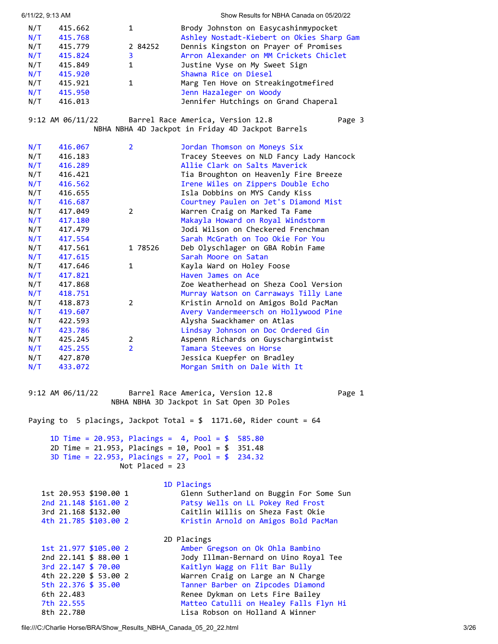<span id="page-2-0"></span>

| 6/11/22, 9:13 AM |                                              |                   | Show Results for NBHA Canada on 05/20/22                                                         |
|------------------|----------------------------------------------|-------------------|--------------------------------------------------------------------------------------------------|
| N/T              | 415.662                                      | 1                 | Brody Johnston on Easycashinmypocket                                                             |
| N/T              | 415.768                                      |                   | Ashley Nostadt-Kiebert on Okies Sharp Gam                                                        |
| N/T              | 415.779                                      | 2 84252           | Dennis Kingston on Prayer of Promises                                                            |
| N/T              | 415.824                                      | 3                 | Arron Alexander on MM Crickets Chiclet                                                           |
| N/T              | 415.849                                      | 1                 | Justine Vyse on My Sweet Sign                                                                    |
| N/T<br>N/T       | 415.920<br>415.921                           | $\mathbf{1}$      | Shawna Rice on Diesel<br>Marg Ten Hove on Streakingotmefired                                     |
| N/T              | 415.950                                      |                   | Jenn Hazaleger on Woody                                                                          |
| N/T              | 416.013                                      |                   | Jennifer Hutchings on Grand Chaperal                                                             |
|                  |                                              |                   |                                                                                                  |
|                  | $9:12$ AM $06/11/22$                         |                   | Barrel Race America, Version 12.8<br>Page 3<br>NBHA NBHA 4D Jackpot in Friday 4D Jackpot Barrels |
| N/T              | 416.067                                      | $\overline{2}$    | Jordan Thomson on Moneys Six                                                                     |
| N/T              | 416.183                                      |                   | Tracey Steeves on NLD Fancy Lady Hancock                                                         |
| N/T              | 416.289                                      |                   | Allie Clark on Salts Maverick                                                                    |
| N/T              | 416.421                                      |                   | Tia Broughton on Heavenly Fire Breeze                                                            |
| N/T              | 416.562                                      |                   | Irene Wiles on Zippers Double Echo                                                               |
| N/T              | 416.655                                      |                   | Isla Dobbins on MYS Candy Kiss                                                                   |
| N/T              | 416.687                                      | $\overline{2}$    | Courtney Paulen on Jet's Diamond Mist<br>Warren Craig on Marked Ta Fame                          |
| N/T<br>N/T       | 417.049<br>417.180                           |                   | Makayla Howard on Royal Windstorm                                                                |
| N/T              | 417.479                                      |                   | Jodi Wilson on Checkered Frenchman                                                               |
| N/T              | 417.554                                      |                   | Sarah McGrath on Too Okie For You                                                                |
| N/T              | 417.561                                      | 1 78526           | Deb Olyschlager on GBA Robin Fame                                                                |
| N/T              | 417.615                                      |                   | Sarah Moore on Satan                                                                             |
| N/T              | 417.646                                      | 1                 | Kayla Ward on Holey Foose                                                                        |
| N/T              | 417.821                                      |                   | Haven James on Ace                                                                               |
| N/T              | 417.868                                      |                   | Zoe Weatherhead on Sheza Cool Version                                                            |
| N/T              | 418.751                                      |                   | Murray Watson on Carraways Tilly Lane                                                            |
| N/T              | 418.873                                      | 2                 | Kristin Arnold on Amigos Bold PacMan                                                             |
| N/T<br>N/T       | 419.607<br>422.593                           |                   | Avery Vandermeersch on Hollywood Pine<br>Alysha Swackhamer on Atlas                              |
| N/T              | 423.786                                      |                   | Lindsay Johnson on Doc Ordered Gin                                                               |
| N/T              | 425.245                                      | $\overline{2}$    | Aspenn Richards on Guyschargintwist                                                              |
| N/T              | 425.255                                      | $\overline{2}$    | Tamara Steeves on Horse                                                                          |
| N/T              | 427.870                                      |                   | Jessica Kuepfer on Bradley                                                                       |
| N/T              | 433.072                                      |                   | Morgan Smith on Dale With It                                                                     |
|                  | 9:12 AM 06/11/22                             |                   | Barrel Race America, Version 12.8<br>Page 1<br>NBHA NBHA 3D Jackpot in Sat Open 3D Poles         |
|                  |                                              |                   | Paying to 5 placings, Jackpot Total = $$1171.60$ , Rider count = 64                              |
|                  |                                              |                   | 1D Time = $20.953$ , Placings = $4$ , Pool = $$585.80$                                           |
|                  |                                              |                   | 2D Time = 21.953, Placings = 10, Pool = \$ 351.48                                                |
|                  |                                              | Not Placed = $23$ | 3D Time = 22.953, Placings = 27, Pool = $$234.32$                                                |
|                  |                                              |                   | 1D Placings                                                                                      |
|                  | 1st 20.953 \$190.00 1                        |                   | Glenn Sutherland on Buggin For Some Sun                                                          |
|                  | 2nd 21.148 \$161.00 2<br>3rd 21.168 \$132.00 |                   | Patsy Wells on LL Pokey Red Frost<br>Caitlin Willis on Sheza Fast Okie                           |
|                  | 4th 21.785 \$103.00 2                        |                   | Kristin Arnold on Amigos Bold PacMan                                                             |
|                  |                                              |                   |                                                                                                  |
|                  |                                              |                   | 2D Placings                                                                                      |
|                  | 1st 21.977 \$105.00 2                        |                   | Amber Gregson on Ok Ohla Bambino                                                                 |
|                  | 2nd 22.141 \$ 88.00 1                        |                   | Jody Illman-Bernard on Uino Royal Tee                                                            |
|                  | 3rd 22.147 \$ 70.00                          |                   | Kaitlyn Wagg on Flit Bar Bully                                                                   |
|                  | 4th 22.220 \$ 53.00 2                        |                   | Warren Craig on Large an N Charge                                                                |
|                  | 5th 22.376 \$ 35.00<br>6th 22.483            |                   | Tanner Barber on Zipcodes Diamond                                                                |
|                  | 7th 22.555                                   |                   | Renee Dykman on Lets Fire Bailey<br>Matteo Catulli on Healey Falls Flyn Hi                       |
|                  | 8th 22.780                                   |                   | Lisa Robson on Holland A Winner                                                                  |
|                  |                                              |                   |                                                                                                  |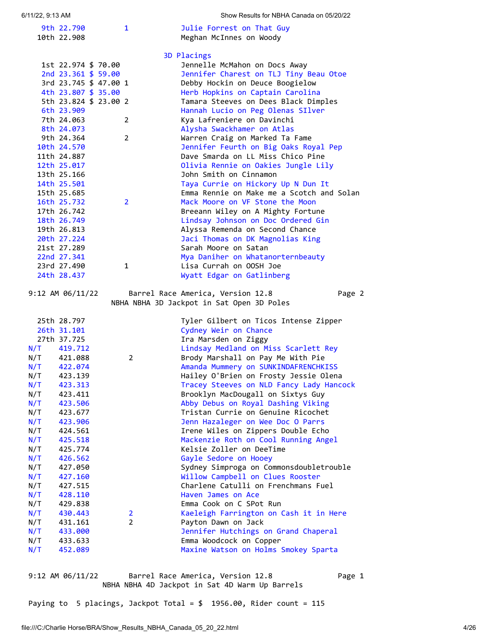| 6/11/22, 9:13 AM |                            |                       |                       | Show Results for NBHA Canada on 05/20/22                                                 |
|------------------|----------------------------|-----------------------|-----------------------|------------------------------------------------------------------------------------------|
|                  | 9th 22.790                 |                       | 1                     | Julie Forrest on That Guy                                                                |
|                  | 10th 22.908                |                       |                       | Meghan McInnes on Woody                                                                  |
|                  |                            |                       |                       |                                                                                          |
|                  |                            |                       |                       | 3D Placings                                                                              |
|                  |                            | 1st 22.974 \$ 70.00   |                       | Jennelle McMahon on Docs Away                                                            |
|                  |                            | 2nd 23.361 \$ 59.00   |                       | Jennifer Charest on TLJ Tiny Beau Otoe                                                   |
|                  |                            | 3rd 23.745 \$ 47.00 1 |                       | Debby Hockin on Deuce Boogielow                                                          |
|                  |                            | 4th 23.807 \$ 35.00   |                       | Herb Hopkins on Captain Carolina                                                         |
|                  |                            | 5th 23.824 \$ 23.00 2 |                       | Tamara Steeves on Dees Black Dimples                                                     |
|                  | 6th 23.909                 |                       |                       | Hannah Lucio on Peg Olenas SIlver                                                        |
|                  | 7th 24.063                 |                       | $\mathbf{2}$          | Kya Lafreniere on Davinchi                                                               |
|                  | 8th 24.073                 |                       |                       | Alysha Swackhamer on Atlas                                                               |
|                  | 9th 24.364                 |                       | $\overline{2}$        | Warren Craig on Marked Ta Fame                                                           |
|                  | 10th 24.570                |                       |                       | Jennifer Feurth on Big Oaks Royal Pep                                                    |
|                  | 11th 24.887                |                       |                       | Dave Smarda on LL Miss Chico Pine                                                        |
|                  | 12th 25.017                |                       |                       | Olivia Rennie on Oakies Jungle Lily<br>John Smith on Cinnamon                            |
|                  | 13th 25.166                |                       |                       |                                                                                          |
|                  | 14th 25.501<br>15th 25.685 |                       |                       | Taya Currie on Hickory Up N Dun It<br>Emma Rennie on Make me a Scotch and Solan          |
|                  | 16th 25.732                |                       | $\overline{2}$        | Mack Moore on VF Stone the Moon                                                          |
|                  | 17th 26.742                |                       |                       | Breeann Wiley on A Mighty Fortune                                                        |
|                  | 18th 26.749                |                       |                       | Lindsay Johnson on Doc Ordered Gin                                                       |
|                  | 19th 26.813                |                       |                       | Alyssa Remenda on Second Chance                                                          |
|                  | 20th 27.224                |                       |                       | Jaci Thomas on DK Magnolias King                                                         |
|                  | 21st 27.289                |                       |                       | Sarah Moore on Satan                                                                     |
|                  | 22nd 27.341                |                       |                       | Mya Daniher on Whatanorternbeauty                                                        |
|                  | 23rd 27.490                |                       | 1                     | Lisa Currah on OOSH Joe                                                                  |
|                  | 24th 28.437                |                       |                       | Wyatt Edgar on Gatlinberg                                                                |
|                  |                            |                       |                       |                                                                                          |
|                  | $9:12$ AM $06/11/22$       |                       |                       | Barrel Race America, Version 12.8<br>Page 2<br>NBHA NBHA 3D Jackpot in Sat Open 3D Poles |
|                  | 25th 28.797                |                       |                       | Tyler Gilbert on Ticos Intense Zipper                                                    |
|                  | 26th 31.101                |                       |                       | Cydney Weir on Chance                                                                    |
|                  | 27th 37.725                |                       |                       | Ira Marsden on Ziggy                                                                     |
|                  | $N/T$ 419.712              |                       |                       | Lindsay Medland on Miss Scarlett Rey                                                     |
| N/T              | 421.088                    |                       | $\mathbf{2}^{\prime}$ | Brody Marshall on Pay Me With Pie                                                        |
| N/T              | 422.074                    |                       |                       | Amanda Mummery on SUNKINDAFRENCHKISS                                                     |
| N/T              | 423.139                    |                       |                       | Hailey O'Brien on Frosty Jessie Olena                                                    |
| N/T              | 423.313                    |                       |                       | Tracey Steeves on NLD Fancy Lady Hancock                                                 |
| N/T              | 423.411                    |                       |                       | Brooklyn MacDougall on Sixtys Guy                                                        |
| N/T              | 423.506                    |                       |                       | Abby Debus on Royal Dashing Viking                                                       |
| N/T              | 423.677                    |                       |                       | Tristan Currie on Genuine Ricochet                                                       |
| N/T              | 423.906                    |                       |                       | Jenn Hazaleger on Wee Doc O Parrs                                                        |
| N/T              | 424.561                    |                       |                       | Irene Wiles on Zippers Double Echo                                                       |
| N/T              | 425.518                    |                       |                       | Mackenzie Roth on Cool Running Angel                                                     |
| N/T              | 425.774                    |                       |                       | Kelsie Zoller on DeeTime                                                                 |
| N/T              | 426.562                    |                       |                       | Gayle Sedore on Hooey                                                                    |
| N/T              | 427.050                    |                       |                       | Sydney Simproga on Commonsdoubletrouble                                                  |
| N/T              | 427.160                    |                       |                       | Willow Campbell on Clues Rooster                                                         |
| N/T              | 427.515<br>428.110         |                       |                       | Charlene Catulli on Frenchmans Fuel<br>Haven James on Ace                                |
| N/T<br>N/T       | 429.838                    |                       |                       | Emma Cook on C SPot Run                                                                  |
| N/T              | 430.443                    |                       | $\overline{2}$        | Kaeleigh Farrington on Cash it in Here                                                   |
| N/T              | 431.161                    |                       | $\mathbf{2}^{\prime}$ | Payton Dawn on Jack                                                                      |
| N/T              | 433.000                    |                       |                       | Jennifer Hutchings on Grand Chaperal                                                     |
| N/T              | 433.633                    |                       |                       | Emma Woodcock on Copper                                                                  |

<span id="page-3-0"></span>9:12 AM 06/11/22 Barrel Race America, Version 12.8 Page 1 NBHA NBHA 4D Jackpot in Sat 4D Warm Up Barrels

Paying to 5 placings, Jackpot Total = \$ 1956.00, Rider count = 115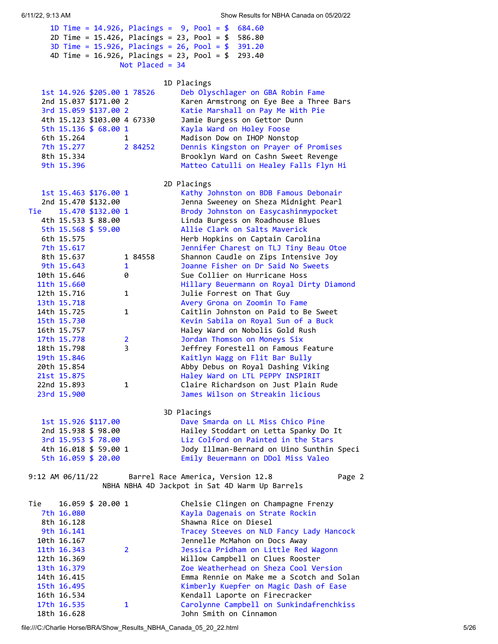| 2D Time = $15.426$ , Placings = $23$ , Pool = $$$       | 586.80                                                                     |
|---------------------------------------------------------|----------------------------------------------------------------------------|
| 3D Time = $15.926$ , Placings = $26$ , Pool = $$391.20$ |                                                                            |
| 4D Time = $16.926$ , Placings = $23$ , Pool = \$        | 293.40                                                                     |
| Not Placed = $34$                                       |                                                                            |
|                                                         |                                                                            |
|                                                         | 1D Placings                                                                |
| 1st 14.926 \$205.00 1 78526                             | Deb Olyschlager on GBA Robin Fame                                          |
| 2nd 15.037 \$171.00 2                                   | Karen Armstrong on Eye Bee a Three Bars                                    |
|                                                         |                                                                            |
| 3rd 15.059 \$137.00 2                                   | Katie Marshall on Pay Me With Pie                                          |
| 4th 15.123 \$103.00 4 67330                             | Jamie Burgess on Gettor Dunn                                               |
| 5th $15.136 \text{ } 56.001$                            | Kayla Ward on Holey Foose                                                  |
| 6th 15.264<br>1                                         | Madison Dow on IHOP Nonstop                                                |
| 7th 15.277<br>2 84252                                   | Dennis Kingston on Prayer of Promises                                      |
| 8th 15.334                                              | Brooklyn Ward on Cashn Sweet Revenge                                       |
| 9th 15.396                                              | Matteo Catulli on Healey Falls Flyn Hi                                     |
|                                                         |                                                                            |
|                                                         |                                                                            |
|                                                         | 2D Placings                                                                |
| 1st 15.463 \$176.00 1                                   | Kathy Johnston on BDB Famous Debonair                                      |
| 2nd 15.470 \$132.00                                     | Jenna Sweeney on Sheza Midnight Pearl                                      |
| Tie<br>15.470 \$132.00 1                                | Brody Johnston on Easycashinmypocket                                       |
| 4th 15.533 \$ 88.00                                     | Linda Burgess on Roadhouse Blues                                           |
| 5th 15.568 \$ 59.00                                     | Allie Clark on Salts Maverick                                              |
| 6th 15.575                                              | Herb Hopkins on Captain Carolina                                           |
| 7th 15.617                                              | Jennifer Charest on TLJ Tiny Beau Otoe                                     |
| 8th 15.637<br>1 84558                                   | Shannon Caudle on Zips Intensive Joy                                       |
|                                                         |                                                                            |
| 9th 15.643<br>1                                         | Joanne Fisher on Dr Said No Sweets                                         |
| 10th 15.646<br>0                                        | Sue Collier on Hurricane Hoss                                              |
| 11th 15.660                                             | Hillary Beuermann on Royal Dirty Diamond                                   |
| 12th 15.716<br>1                                        | Julie Forrest on That Guy                                                  |
| 13th 15.718                                             | Avery Grona on Zoomin To Fame                                              |
| 14th 15.725<br>1                                        | Caitlin Johnston on Paid to Be Sweet                                       |
| 15th 15.730                                             | Kevin Sabila on Royal Sun of a Buck                                        |
| 16th 15.757                                             | Haley Ward on Nobolis Gold Rush                                            |
| 17th 15.778<br>$\overline{2}$                           | Jordan Thomson on Moneys Six                                               |
| 3<br>18th 15.798                                        | Jeffrey Forestell on Famous Feature                                        |
|                                                         |                                                                            |
| 19th 15.846                                             | Kaitlyn Wagg on Flit Bar Bully                                             |
| 20th 15.854                                             | Abby Debus on Royal Dashing Viking                                         |
| 21st 15.875                                             | Haley Ward on LTL PEPPY INSPIRIT                                           |
| 22nd 15.893<br>1                                        | Claire Richardson on Just Plain Rude                                       |
| 23rd 15.900                                             | James Wilson on Streakin licious                                           |
|                                                         |                                                                            |
|                                                         | 3D Placings                                                                |
| 1st 15.926 \$117.00                                     | Dave Smarda on LL Miss Chico Pine                                          |
| 2nd 15.938 \$ 98.00                                     | Hailey Stoddart on Letta Spanky Do It                                      |
|                                                         |                                                                            |
| 3rd 15.953 \$ 78.00                                     | Liz Colford on Painted in the Stars                                        |
| 4th 16.018 \$ 59.00 1                                   | Jody Illman-Bernard on Uino Sunthin Speci                                  |
| 5th 16.059 \$ 20.00                                     | Emily Beuermann on DDol Miss Valeo                                         |
|                                                         |                                                                            |
| 9:12 AM 06/11/22                                        | Barrel Race America, Version 12.8<br>Page 2                                |
|                                                         | NBHA NBHA 4D Jackpot in Sat 4D Warm Up Barrels                             |
|                                                         |                                                                            |
| 16.059 \$ 20.00 1<br>Tie                                | Chelsie Clingen on Champagne Frenzy                                        |
| 7th 16.080                                              |                                                                            |
|                                                         | Kayla Dagenais on Strate Rockin                                            |
| 8th 16.128                                              | Shawna Rice on Diesel                                                      |
| 9th 16.141                                              | Tracey Steeves on NLD Fancy Lady Hancock                                   |
| 10th 16.167                                             |                                                                            |
|                                                         | Jennelle McMahon on Docs Away                                              |
| 11th 16.343<br>$\overline{2}$                           | Jessica Pridham on Little Red Wagonn                                       |
| 12th 16.369                                             | Willow Campbell on Clues Rooster                                           |
| 13th 16.379                                             | Zoe Weatherhead on Sheza Cool Version                                      |
|                                                         | Emma Rennie on Make me a Scotch and Solan                                  |
| 14th 16.415                                             |                                                                            |
| 15th 16.495                                             | Kimberly Kuepfer on Magic Dash of Ease                                     |
| 16th 16.534<br>17th 16.535<br>$\mathbf{1}$              | Kendall Laporte on Firecracker<br>Carolynne Campbell on Sunkindafrenchkiss |

1D Time = 14.926, Placings = 9, Pool = \$ 684.60

file:///C:/Charlie Horse/BRA/Show\_Results\_NBHA\_Canada\_05\_20\_22.html 5/26

18th 16.628 John Smith on Cinnamon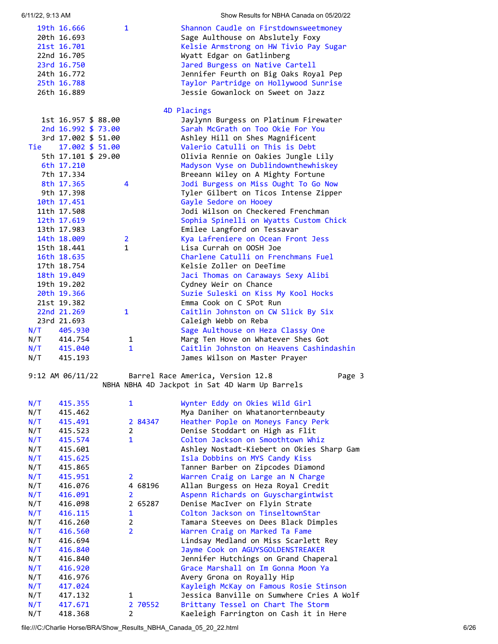| 6/11/22, 9:13 AM |  |
|------------------|--|
|                  |  |

| 6/11/22, 9:13 AM       |              | Show Results for NBHA Canada on 05/20/22 |
|------------------------|--------------|------------------------------------------|
| 19th 16.666            | $\mathbf{1}$ | Shannon Caudle on Firstdownsweetmoney    |
| 20th 16.693            |              | Sage Aulthouse on Abslutely Foxy         |
| 21st 16.701            |              | Kelsie Armstrong on HW Tivio Pay Sugar   |
| 22nd 16.705            |              | Wyatt Edgar on Gatlinberg                |
| 23rd 16.750            |              | Jared Burgess on Native Cartell          |
| 24th 16.772            |              | Jennifer Feurth on Big Oaks Royal Pep    |
| 25th 16.788            |              | Taylor Partridge on Hollywood Sunrise    |
| 26th 16.889            |              | Jessie Gowanlock on Sweet on Jazz        |
|                        |              | 4D Placings                              |
| 1st 16.957 \$ 88.00    |              | Jaylynn Burgess on Platinum Firewater    |
| 2nd 16.992 \$ 73.00    |              | Sarah McGrath on Too Okie For You        |
| 3rd 17.002 \$ 51.00    |              | Ashley Hill on Shes Magnificent          |
| Tie<br>17.002 \$ 51.00 |              | Valerio Catulli on This is Debt          |
| 5th 17.101 \$ 29.00    |              | Olivia Rennie on Oakies Jungle Lily      |
| 6th 17.210             |              | Madyson Vyse on Dublindownthewhiskey     |
| 7th 17.334             |              | Breeann Wiley on A Mighty Fortune        |
| 8th 17.365             | 4            | Jodi Burgess on Miss Ought To Go Now     |
| 9th 17.398             |              | Tyler Gilbert on Ticos Intense Zipper    |
| 10th 17.451            |              | Gayle Sedore on Hooey                    |
| 11th 17.508            |              | Jodi Wilson on Checkered Frenchman       |
| 12th 17.619            |              | Sophia Spinelli on Wyatts Custom Chick   |

| 11th 17.508   |                | Jodi Wilson on Checkered Frenchman       |
|---------------|----------------|------------------------------------------|
| 12th 17.619   |                | Sophia Spinelli on Wyatts Custom Chick   |
| 13th 17.983   |                | Emilee Langford on Tessavar              |
| 14th 18.009   | $\overline{2}$ | Kya Lafreniere on Ocean Front Jess       |
| 15th 18.441   | 1              | Lisa Currah on OOSH Joe                  |
| 16th 18.635   |                | Charlene Catulli on Frenchmans Fuel      |
| 17th 18.754   |                | Kelsie Zoller on DeeTime                 |
| 18th 19.049   |                | Jaci Thomas on Caraways Sexy Alibi       |
| 19th 19.202   |                | Cydney Weir on Chance                    |
| 20th 19.366   |                | Suzie Suleski on Kiss My Kool Hocks      |
| 21st 19.382   |                | Emma Cook on C SPot Run                  |
| 22nd 21,269   | $\mathbf 1$    | Caitlin Johnston on CW Slick By Six      |
| 23rd 21.693   |                | Caleigh Webb on Reba                     |
| $N/T$ 405.930 |                | Sage Aulthouse on Heza Classy One        |
| $N/T$ 414.754 | 1              | Marg Ten Hove on Whatever Shes Got       |
| N/T 415.040   | $\mathbf{1}$   | Caitlin Johnston on Heavens Cashindashin |
| $N/T$ 415.193 |                | James Wilson on Master Prayer            |

9:12 AM 06/11/22 Barrel Race America, Version 12.8 Page 3 NBHA NBHA 4D Jackpot in Sat 4D Warm Up Barrels

| N/T | 415.355 | $\mathbf{1}$   | Wynter Eddy on Okies Wild Girl            |
|-----|---------|----------------|-------------------------------------------|
| N/T | 415.462 |                | Mya Daniher on Whatanorternbeauty         |
| N/T | 415.491 | 2 84347        | Heather Pople on Moneys Fancy Perk        |
| N/T | 415.523 | $\overline{2}$ | Denise Stoddart on High as Flit           |
| N/T | 415.574 | $\mathbf{1}$   | Colton Jackson on Smoothtown Whiz         |
| N/T | 415.601 |                | Ashley Nostadt-Kiebert on Okies Sharp Gam |
| N/T | 415.625 |                | Isla Dobbins on MYS Candy Kiss            |
| N/T | 415.865 |                | Tanner Barber on Zipcodes Diamond         |
| N/T | 415.951 | $\overline{2}$ | Warren Craig on Large an N Charge         |
| N/T | 416.076 | 4 68196        | Allan Burgess on Heza Royal Credit        |
| N/T | 416.091 | $\overline{2}$ | Aspenn Richards on Guyschargintwist       |
| N/T | 416.098 | 2 65287        | Denise MacIver on Flyin Strate            |
| N/T | 416.115 | $\mathbf{1}$   | Colton Jackson on TinseltownStar          |
| N/T | 416.260 | $\overline{2}$ | Tamara Steeves on Dees Black Dimples      |
| N/T | 416.560 | $\overline{2}$ | Warren Craig on Marked Ta Fame            |
| N/T | 416.694 |                | Lindsay Medland on Miss Scarlett Rey      |
| N/T | 416.840 |                | Jayme Cook on AGUYSGOLDENSTREAKER         |
| N/T | 416.840 |                | Jennifer Hutchings on Grand Chaperal      |
| N/T | 416.920 |                | Grace Marshall on Im Gonna Moon Ya        |
| N/T | 416.976 |                | Avery Grona on Royally Hip                |
| N/T | 417.024 |                | Kayleigh McKay on Famous Rosie Stinson    |
| N/T | 417.132 | 1              | Jessica Banville on Sumwhere Cries A Wolf |
| N/T | 417.671 | 2 70552        | Brittany Tessel on Chart The Storm        |
| N/T | 418.368 | 2              | Kaeleigh Farrington on Cash it in Here    |

file:///C:/Charlie Horse/BRA/Show\_Results\_NBHA\_Canada\_05\_20\_22.html 6/26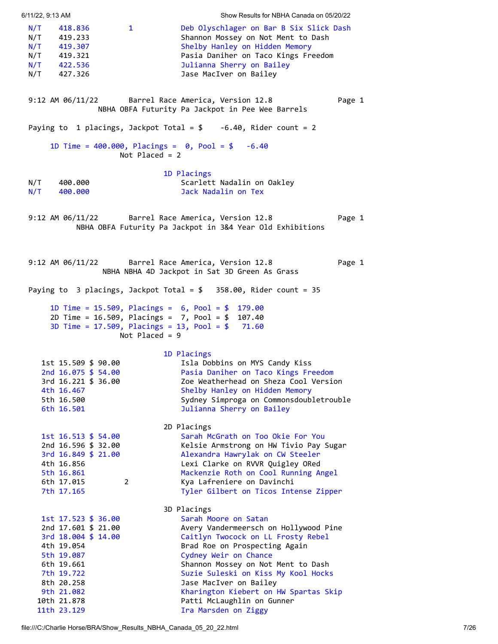<span id="page-6-2"></span><span id="page-6-1"></span><span id="page-6-0"></span>

| 6/11/22, 9:13 AM |                                                                       |                  | Show Results for NBHA Canada on 05/20/22                                                                                                                                            |        |
|------------------|-----------------------------------------------------------------------|------------------|-------------------------------------------------------------------------------------------------------------------------------------------------------------------------------------|--------|
| N/T<br>N/T       | 418.836<br>419.233<br>$N/T$ 419.307<br>$N/T$ 419.321<br>$N/T$ 422.536 | $\mathbf{1}$     | Deb Olyschlager on Bar B Six Slick Dash<br>Shannon Mossey on Not Ment to Dash<br>Shelby Hanley on Hidden Memory<br>Pasia Daniher on Taco Kings Freedom<br>Julianna Sherry on Bailey |        |
|                  | N/T 427.326                                                           |                  | Jase MacIver on Bailey                                                                                                                                                              |        |
|                  | 9:12 AM 06/11/22                                                      |                  | Barrel Race America, Version 12.8<br>NBHA OBFA Futurity Pa Jackpot in Pee Wee Barrels                                                                                               | Page 1 |
|                  |                                                                       |                  | Paying to 1 placings, Jackpot Total = $$-6.40$ , Rider count = 2                                                                                                                    |        |
|                  |                                                                       | Not Placed = $2$ | 1D Time = $400.000$ , Placings = $0$ , Pool = \$ -6.40                                                                                                                              |        |
|                  |                                                                       |                  | 1D Placings                                                                                                                                                                         |        |
| N/T<br>N/T       | 400.000<br>400.000                                                    |                  | Scarlett Nadalin on Oakley<br>Jack Nadalin on Tex                                                                                                                                   |        |
|                  |                                                                       |                  | 9:12 AM 06/11/22 Barrel Race America, Version 12.8<br>NBHA OBFA Futurity Pa Jackpot in 3&4 Year Old Exhibitions                                                                     | Page 1 |
|                  |                                                                       |                  |                                                                                                                                                                                     |        |
|                  |                                                                       |                  | 9:12 AM 06/11/22 Barrel Race America, Version 12.8<br>NBHA NBHA 4D Jackpot in Sat 3D Green As Grass                                                                                 | Page 1 |
|                  |                                                                       |                  | Paying to 3 placings, Jackpot Total = $$358.00$ , Rider count = 35                                                                                                                  |        |
|                  |                                                                       |                  | 1D Time = 15.509, Placings = $6$ , Pool = \$ 179.00                                                                                                                                 |        |
|                  |                                                                       | Not Placed = $9$ | 2D Time = $16.509$ , Placings = $7$ , Pool = \$ 107.40<br>3D Time = $17.509$ , Placings = $13$ , Pool = $$71.60$                                                                    |        |
|                  |                                                                       |                  | 1D Placings                                                                                                                                                                         |        |
|                  | 1st 15.509 \$ 90.00                                                   |                  | Isla Dobbins on MYS Candy Kiss                                                                                                                                                      |        |
|                  | 2nd 16.075 \$ 54.00                                                   |                  | Pasia Daniher on Taco Kings Freedom                                                                                                                                                 |        |
|                  | 3rd 16.221 \$ 36.00                                                   |                  | Zoe Weatherhead on Sheza Cool Version                                                                                                                                               |        |
|                  | 4th 16.467                                                            |                  | Shelby Hanley on Hidden Memory                                                                                                                                                      |        |
|                  | 5th 16.500                                                            |                  | Sydney Simproga on Commonsdoubletrouble                                                                                                                                             |        |
|                  | 6th 16.501                                                            |                  | Julianna Sherry on Bailey                                                                                                                                                           |        |
|                  |                                                                       |                  | 2D Placings                                                                                                                                                                         |        |
|                  | 1st 16.513 \$ 54.00                                                   |                  | Sarah McGrath on Too Okie For You                                                                                                                                                   |        |
|                  | 2nd 16.596 \$ 32.00                                                   |                  | Kelsie Armstrong on HW Tivio Pay Sugar                                                                                                                                              |        |
|                  | 3rd 16.849 \$ 21.00                                                   |                  | Alexandra Hawrylak on CW Steeler                                                                                                                                                    |        |
|                  | 4th 16.856<br>5th 16.861                                              |                  | Lexi Clarke on RVVR Quigley ORed<br>Mackenzie Roth on Cool Running Angel                                                                                                            |        |
|                  | 6th 17.015                                                            | 2                | Kya Lafreniere on Davinchi                                                                                                                                                          |        |
|                  | 7th 17.165                                                            |                  | Tyler Gilbert on Ticos Intense Zipper                                                                                                                                               |        |
|                  |                                                                       |                  | 3D Placings                                                                                                                                                                         |        |
|                  | 1st 17.523 \$ 36.00                                                   |                  | Sarah Moore on Satan                                                                                                                                                                |        |
|                  | 2nd 17.601 \$ 21.00                                                   |                  | Avery Vandermeersch on Hollywood Pine                                                                                                                                               |        |
|                  | 3rd 18.004 \$ 14.00                                                   |                  | Caitlyn Twocock on LL Frosty Rebel                                                                                                                                                  |        |
|                  | 4th 19.054                                                            |                  | Brad Roe on Prospecting Again                                                                                                                                                       |        |
|                  | 5th 19.087                                                            |                  | Cydney Weir on Chance                                                                                                                                                               |        |
|                  | 6th 19.661<br>7th 19.722                                              |                  | Shannon Mossey on Not Ment to Dash<br>Suzie Suleski on Kiss My Kool Hocks                                                                                                           |        |
|                  | 8th 20.258                                                            |                  | Jase MacIver on Bailey                                                                                                                                                              |        |
|                  | 9th 21.082                                                            |                  | Kharington Kiebert on HW Spartas Skip                                                                                                                                               |        |
|                  | 10th 21.878                                                           |                  | Patti McLaughlin on Gunner                                                                                                                                                          |        |
|                  | 11th 23.129                                                           |                  | Ira Marsden on Ziggy                                                                                                                                                                |        |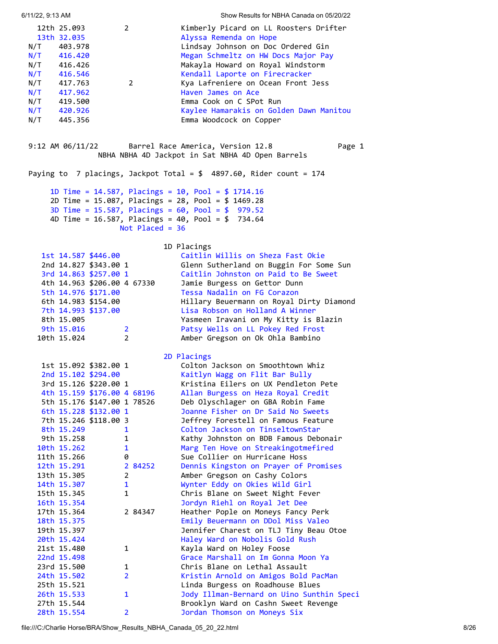<span id="page-7-0"></span>

| 6/11/22, 9:13 AM                       |                                                                                                                                             |                             |                                | Show Results for NBHA Canada on 05/20/22                                                                                                                                                                                                                                                                                                                                          |
|----------------------------------------|---------------------------------------------------------------------------------------------------------------------------------------------|-----------------------------|--------------------------------|-----------------------------------------------------------------------------------------------------------------------------------------------------------------------------------------------------------------------------------------------------------------------------------------------------------------------------------------------------------------------------------|
| N/T<br>N/T<br>N/T<br>N/T<br>N/T<br>N/T | 12th 25.093<br>13th 32.035<br>403.978<br>416.420<br>416.426<br>416.546<br>$N/T$ 417.763<br>417.962<br>N/T 419.500<br>N/T 420.926<br>445.356 |                             | $\overline{2}$<br>$\mathbf{2}$ | Kimberly Picard on LL Roosters Drifter<br>Alyssa Remenda on Hope<br>Lindsay Johnson on Doc Ordered Gin<br>Megan Schmeltz on HW Docs Major Pay<br>Makayla Howard on Royal Windstorm<br>Kendall Laporte on Firecracker<br>Kya Lafreniere on Ocean Front Jess<br>Haven James on Ace<br>Emma Cook on C SPot Run<br>Kaylee Hamarakis on Golden Dawn Manitou<br>Emma Woodcock on Copper |
|                                        | 9:12 AM $06/11/22$                                                                                                                          |                             |                                | Barrel Race America, Version 12.8<br>Page 1<br>NBHA NBHA 4D Jackpot in Sat NBHA 4D Open Barrels                                                                                                                                                                                                                                                                                   |
|                                        |                                                                                                                                             |                             |                                | Paying to 7 placings, Jackpot Total = $$4897.60$ , Rider count = 174                                                                                                                                                                                                                                                                                                              |
|                                        |                                                                                                                                             |                             | Not Placed = $36$              | 1D Time = $14.587$ , Placings = $10$ , Pool = \$ 1714.16<br>2D Time = 15.087, Placings = 28, Pool = \$ 1469.28<br>3D Time = $15.587$ , Placings = $60$ , Pool = \$ 979.52<br>4D Time = 16.587, Placings = 40, Pool = \$ 734.64                                                                                                                                                    |
|                                        |                                                                                                                                             |                             |                                | 1D Placings                                                                                                                                                                                                                                                                                                                                                                       |
|                                        |                                                                                                                                             | 1st 14.587 \$446.00         |                                | Caitlin Willis on Sheza Fast Okie                                                                                                                                                                                                                                                                                                                                                 |
|                                        |                                                                                                                                             | 2nd 14.827 \$343.00 1       |                                | Glenn Sutherland on Buggin For Some Sun                                                                                                                                                                                                                                                                                                                                           |
|                                        |                                                                                                                                             | 3rd 14.863 \$257.00 1       |                                | Caitlin Johnston on Paid to Be Sweet                                                                                                                                                                                                                                                                                                                                              |
|                                        |                                                                                                                                             |                             | 4th 14.963 \$206.00 4 67330    | Jamie Burgess on Gettor Dunn                                                                                                                                                                                                                                                                                                                                                      |
|                                        |                                                                                                                                             | 5th 14.976 \$171.00         |                                | Tessa Nadalin on FG Corazon                                                                                                                                                                                                                                                                                                                                                       |
|                                        |                                                                                                                                             | 6th 14.983 \$154.00         |                                | Hillary Beuermann on Royal Dirty Diamond                                                                                                                                                                                                                                                                                                                                          |
|                                        |                                                                                                                                             | 7th 14.993 \$137.00         |                                | Lisa Robson on Holland A Winner                                                                                                                                                                                                                                                                                                                                                   |
|                                        | 8th 15.005                                                                                                                                  |                             |                                | Yasmeen Iravani on My Kitty is Blazin                                                                                                                                                                                                                                                                                                                                             |
|                                        | 9th 15.016                                                                                                                                  |                             | 2 <sup>7</sup>                 | Patsy Wells on LL Pokey Red Frost                                                                                                                                                                                                                                                                                                                                                 |
|                                        | 10th 15.024                                                                                                                                 |                             | $2^{\circ}$                    | Amber Gregson on Ok Ohla Bambino                                                                                                                                                                                                                                                                                                                                                  |
|                                        |                                                                                                                                             |                             |                                | 2D Placings                                                                                                                                                                                                                                                                                                                                                                       |
|                                        |                                                                                                                                             | 1st 15.092 \$382.00 1       |                                | Colton Jackson on Smoothtown Whiz                                                                                                                                                                                                                                                                                                                                                 |
|                                        |                                                                                                                                             | 2nd 15.102 \$294.00         |                                | Kaitlyn Wagg on Flit Bar Bully                                                                                                                                                                                                                                                                                                                                                    |
|                                        |                                                                                                                                             | 3rd 15.126 \$220.00 1       |                                | Kristina Eilers on UX Pendleton Pete                                                                                                                                                                                                                                                                                                                                              |
|                                        |                                                                                                                                             | 4th 15.159 \$176.00 4 68196 |                                | Allan Burgess on Heza Royal Credit                                                                                                                                                                                                                                                                                                                                                |
|                                        |                                                                                                                                             | 5th 15.176 \$147.00 1 78526 |                                | Deb Olyschlager on GBA Robin Fame                                                                                                                                                                                                                                                                                                                                                 |
|                                        |                                                                                                                                             | 6th 15.228 \$132.00 1       |                                | Joanne Fisher on Dr Said No Sweets                                                                                                                                                                                                                                                                                                                                                |
|                                        |                                                                                                                                             | 7th 15.246 \$118.00 3       |                                | Jeffrey Forestell on Famous Feature                                                                                                                                                                                                                                                                                                                                               |
|                                        | 8th 15.249                                                                                                                                  |                             | $\mathbf{1}$                   | Colton Jackson on TinseltownStar                                                                                                                                                                                                                                                                                                                                                  |
|                                        | 9th 15.258                                                                                                                                  |                             | $\mathbf{1}$                   | Kathy Johnston on BDB Famous Debonair                                                                                                                                                                                                                                                                                                                                             |
|                                        | 10th 15.262                                                                                                                                 |                             | $\mathbf{1}$                   | Marg Ten Hove on Streakingotmefired                                                                                                                                                                                                                                                                                                                                               |
|                                        | 11th 15.266                                                                                                                                 |                             | 0                              | Sue Collier on Hurricane Hoss                                                                                                                                                                                                                                                                                                                                                     |
|                                        | 12th 15.291                                                                                                                                 |                             | 2 84252                        | Dennis Kingston on Prayer of Promises                                                                                                                                                                                                                                                                                                                                             |
|                                        | 13th 15.305                                                                                                                                 |                             | 2                              | Amber Gregson on Cashy Colors                                                                                                                                                                                                                                                                                                                                                     |
|                                        | 14th 15.307                                                                                                                                 |                             | 1                              | Wynter Eddy on Okies Wild Girl                                                                                                                                                                                                                                                                                                                                                    |
|                                        | 15th 15.345                                                                                                                                 |                             | 1                              | Chris Blane on Sweet Night Fever                                                                                                                                                                                                                                                                                                                                                  |
|                                        | 16th 15.354                                                                                                                                 |                             |                                | Jordyn Riehl on Royal Jet Dee                                                                                                                                                                                                                                                                                                                                                     |
|                                        | 17th 15.364                                                                                                                                 |                             | 2 84347                        | Heather Pople on Moneys Fancy Perk                                                                                                                                                                                                                                                                                                                                                |
|                                        | 18th 15.375                                                                                                                                 |                             |                                | Emily Beuermann on DDol Miss Valeo                                                                                                                                                                                                                                                                                                                                                |
|                                        | 19th 15.397                                                                                                                                 |                             |                                | Jennifer Charest on TLJ Tiny Beau Otoe                                                                                                                                                                                                                                                                                                                                            |
|                                        | 20th 15.424                                                                                                                                 |                             |                                | Haley Ward on Nobolis Gold Rush                                                                                                                                                                                                                                                                                                                                                   |
|                                        | 21st 15.480                                                                                                                                 |                             | 1                              | Kayla Ward on Holey Foose                                                                                                                                                                                                                                                                                                                                                         |
|                                        | 22nd 15.498                                                                                                                                 |                             |                                | Grace Marshall on Im Gonna Moon Ya                                                                                                                                                                                                                                                                                                                                                |
|                                        | 23rd 15.500                                                                                                                                 |                             | 1                              | Chris Blane on Lethal Assault                                                                                                                                                                                                                                                                                                                                                     |
|                                        | 24th 15.502                                                                                                                                 |                             | $\overline{2}$                 | Kristin Arnold on Amigos Bold PacMan                                                                                                                                                                                                                                                                                                                                              |
|                                        | 25th 15.521                                                                                                                                 |                             |                                | Linda Burgess on Roadhouse Blues                                                                                                                                                                                                                                                                                                                                                  |
|                                        | 26th 15.533                                                                                                                                 |                             | $\mathbf{1}$                   | Jody Illman-Bernard on Uino Sunthin Speci                                                                                                                                                                                                                                                                                                                                         |
|                                        | 27th 15.544                                                                                                                                 |                             |                                | Brooklyn Ward on Cashn Sweet Revenge                                                                                                                                                                                                                                                                                                                                              |
|                                        | 28th 15.554                                                                                                                                 |                             | $\overline{2}$                 | Jordan Thomson on Moneys Six                                                                                                                                                                                                                                                                                                                                                      |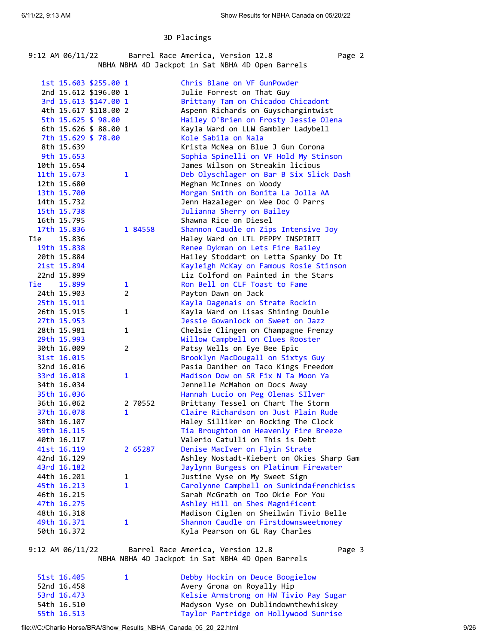## 3D Placings

| 9:12 AM 06/11/22 | Barrel Race America, Version 12.8                | Page 2 |
|------------------|--------------------------------------------------|--------|
|                  | NBHA NBHA 4D Jackpot in Sat NBHA 4D Open Barrels |        |

|     |             | 1st 15.603 \$255.00 1 |                |         | Chris Blane on VF GunPowder               |
|-----|-------------|-----------------------|----------------|---------|-------------------------------------------|
|     |             | 2nd 15.612 \$196.00 1 |                |         | Julie Forrest on That Guy                 |
|     |             | 3rd 15.613 \$147.00 1 |                |         | Brittany Tam on Chicadoo Chicadont        |
|     |             | 4th 15.617 \$118.00 2 |                |         | Aspenn Richards on Guyschargintwist       |
|     |             | 5th 15.625 \$ 98.00   |                |         | Hailey O'Brien on Frosty Jessie Olena     |
|     |             | 6th 15.626 \$ 88.00 1 |                |         | Kayla Ward on LLW Gambler Ladybell        |
|     |             | 7th 15.629 \$ 78.00   |                |         | Kole Sabila on Nala                       |
|     | 8th 15.639  |                       |                |         | Krista McNea on Blue J Gun Corona         |
|     | 9th 15.653  |                       |                |         | Sophia Spinelli on VF Hold My Stinson     |
|     | 10th 15.654 |                       |                |         | James Wilson on Streakin licious          |
|     | 11th 15.673 |                       | 1              |         | Deb Olyschlager on Bar B Six Slick Dash   |
|     | 12th 15.680 |                       |                |         | Meghan McInnes on Woody                   |
|     | 13th 15.700 |                       |                |         | Morgan Smith on Bonita La Jolla AA        |
|     | 14th 15.732 |                       |                |         | Jenn Hazaleger on Wee Doc O Parrs         |
|     | 15th 15.738 |                       |                |         | Julianna Sherry on Bailey                 |
|     | 16th 15.795 |                       |                |         | Shawna Rice on Diesel                     |
|     | 17th 15.836 |                       |                | 1 84558 | Shannon Caudle on Zips Intensive Joy      |
| Tie | 15.836      |                       |                |         | Haley Ward on LTL PEPPY INSPIRIT          |
|     | 19th 15.838 |                       |                |         | Renee Dykman on Lets Fire Bailey          |
|     | 20th 15.884 |                       |                |         | Hailey Stoddart on Letta Spanky Do It     |
|     | 21st 15.894 |                       |                |         | Kayleigh McKay on Famous Rosie Stinson    |
|     | 22nd 15.899 |                       |                |         | Liz Colford on Painted in the Stars       |
| Tie | 15.899      |                       | 1              |         | Ron Bell on CLF Toast to Fame             |
|     | 24th 15.903 |                       | $\overline{2}$ |         | Payton Dawn on Jack                       |
|     | 25th 15.911 |                       |                |         | Kayla Dagenais on Strate Rockin           |
|     | 26th 15.915 |                       | 1              |         | Kayla Ward on Lisas Shining Double        |
|     | 27th 15.953 |                       |                |         | Jessie Gowanlock on Sweet on Jazz         |
|     | 28th 15.981 |                       | 1              |         | Chelsie Clingen on Champagne Frenzy       |
|     | 29th 15.993 |                       |                |         | Willow Campbell on Clues Rooster          |
|     | 30th 16.009 |                       | 2              |         | Patsy Wells on Eye Bee Epic               |
|     | 31st 16.015 |                       |                |         | Brooklyn MacDougall on Sixtys Guy         |
|     | 32nd 16.016 |                       |                |         | Pasia Daniher on Taco Kings Freedom       |
|     | 33rd 16.018 |                       | 1              |         | Madison Dow on SR Fix N Ta Moon Ya        |
|     | 34th 16.034 |                       |                |         | Jennelle McMahon on Docs Away             |
|     | 35th 16.036 |                       |                |         | Hannah Lucio on Peg Olenas SIlver         |
|     | 36th 16.062 |                       |                | 2 70552 | Brittany Tessel on Chart The Storm        |
|     | 37th 16.078 |                       | 1              |         | Claire Richardson on Just Plain Rude      |
|     | 38th 16.107 |                       |                |         | Haley Silliker on Rocking The Clock       |
|     | 39th 16.115 |                       |                |         | Tia Broughton on Heavenly Fire Breeze     |
|     | 40th 16.117 |                       |                |         | Valerio Catulli on This is Debt           |
|     | 41st 16.119 |                       |                | 2 65287 | Denise MacIver on Flyin Strate            |
|     | 42nd 16.129 |                       |                |         | Ashley Nostadt-Kiebert on Okies Sharp Gam |
|     | 43rd 16.182 |                       |                |         | Jaylynn Burgess on Platinum Firewater     |
|     | 44th 16.201 |                       | 1              |         | Justine Vyse on My Sweet Sign             |
|     | 45th 16.213 |                       | $\mathbf 1$    |         | Carolynne Campbell on Sunkindafrenchkiss  |
|     | 46th 16.215 |                       |                |         | Sarah McGrath on Too Okie For You         |
|     | 47th 16.275 |                       |                |         | Ashley Hill on Shes Magnificent           |
|     | 48th 16.318 |                       |                |         | Madison Ciglen on Sheilwin Tivio Belle    |
|     | 49th 16.371 |                       | 1              |         | Shannon Caudle on Firstdownsweetmoney     |
|     | 50th 16.372 |                       |                |         | Kyla Pearson on GL Ray Charles            |
|     |             |                       |                |         |                                           |

9:12 AM 06/11/22 Barrel Race America, Version 12.8 Page 3 NBHA NBHA 4D Jackpot in Sat NBHA 4D Open Barrels

| 51st 16.405 | $\mathbf{1}$ | Debby Hockin on Deuce Boogielow        |
|-------------|--------------|----------------------------------------|
| 52nd 16.458 |              | Avery Grona on Royally Hip             |
| 53rd 16.473 |              | Kelsie Armstrong on HW Tivio Pay Sugar |
| 54th 16.510 |              | Madyson Vyse on Dublindownthewhiskey   |
| 55th 16.513 |              | Taylor Partridge on Hollywood Sunrise  |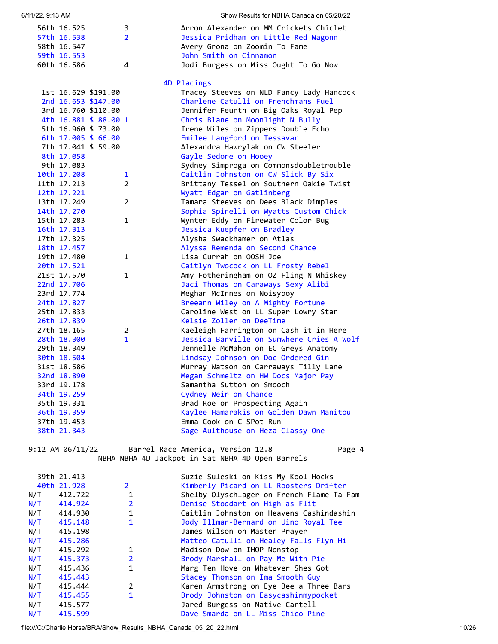| 6/11/22, 9:13 AM      |                       | Show Results for NBHA Canada on 05/20/22  |
|-----------------------|-----------------------|-------------------------------------------|
| 56th 16.525           | 3                     | Arron Alexander on MM Crickets Chiclet    |
| 57th 16.538           | $\overline{2}$        | Jessica Pridham on Little Red Wagonn      |
| 58th 16.547           |                       | Avery Grona on Zoomin To Fame             |
| 59th 16.553           |                       | John Smith on Cinnamon                    |
| 60th 16.586           | 4                     | Jodi Burgess on Miss Ought To Go Now      |
|                       |                       | 4D Placings                               |
| 1st 16.629 \$191.00   |                       | Tracey Steeves on NLD Fancy Lady Hancock  |
| 2nd 16.653 \$147.00   |                       | Charlene Catulli on Frenchmans Fuel       |
| 3rd 16.760 \$110.00   |                       | Jennifer Feurth on Big Oaks Royal Pep     |
| 4th 16.881 \$ 88.00 1 |                       | Chris Blane on Moonlight N Bully          |
| 5th 16.960 \$ 73.00   |                       | Irene Wiles on Zippers Double Echo        |
| 6th 17.005 \$ 66.00   |                       | Emilee Langford on Tessavar               |
| 7th 17.041 \$ 59.00   |                       | Alexandra Hawrylak on CW Steeler          |
| 8th 17.058            |                       | Gayle Sedore on Hooey                     |
| 9th 17.083            |                       | Sydney Simproga on Commonsdoubletrouble   |
| 10th 17.208           | $\mathbf{1}$          | Caitlin Johnston on CW Slick By Six       |
| 11th 17.213           | $\mathbf{2}^{\prime}$ | Brittany Tessel on Southern Oakie Twist   |
| 12th 17.221           |                       | Wyatt Edgar on Gatlinberg                 |
| 13th 17.249           | $\overline{2}$        | Tamara Steeves on Dees Black Dimples      |
| 14th 17.270           |                       | Sophia Spinelli on Wyatts Custom Chick    |
| 15th 17.283           | $\mathbf{1}$          | Wynter Eddy on Firewater Color Bug        |
| 16th 17.313           |                       | Jessica Kuepfer on Bradley                |
| 17th 17.325           |                       | Alysha Swackhamer on Atlas                |
| 18th 17.457           |                       | Alyssa Remenda on Second Chance           |
| 19th 17.480           | 1                     | Lisa Currah on OOSH Joe                   |
| 20th 17.521           |                       | Caitlyn Twocock on LL Frosty Rebel        |
| 21st 17.570           | $\mathbf{1}$          | Amy Fotheringham on OZ Fling N Whiskey    |
| 22nd 17.706           |                       | Jaci Thomas on Caraways Sexy Alibi        |
| 23rd 17.774           |                       | Meghan McInnes on Noisyboy                |
| 24th 17.827           |                       | Breeann Wiley on A Mighty Fortune         |
| 25th 17.833           |                       | Caroline West on LL Super Lowry Star      |
| 26th 17.839           |                       | Kelsie Zoller on DeeTime                  |
| 27th 18.165           | 2                     | Kaeleigh Farrington on Cash it in Here    |
| 28th 18.300           | $\mathbf{1}$          | Jessica Banville on Sumwhere Cries A Wolf |
| 29th 18.349           |                       | Jennelle McMahon on EC Greys Anatomy      |
| 30th 18.504           |                       | Lindsay Johnson on Doc Ordered Gin        |
| 31st 18.586           |                       | Murray Watson on Carraways Tilly Lane     |
| 32nd 18.890           |                       | Megan Schmeltz on HW Docs Major Pay       |
| 33rd 19.178           |                       | Samantha Sutton on Smooch                 |
| 34th 19.259           |                       | Cydney Weir on Chance                     |
| 35th 19.331           |                       | Brad Roe on Prospecting Again             |
| 36th 19.359           |                       | Kaylee Hamarakis on Golden Dawn Manitou   |
| 37th 19.453           |                       | Emma Cook on C SPot Run                   |
| 38th 21.343           |                       | Sage Aulthouse on Heza Classy One         |
|                       |                       |                                           |

9:12 AM 06/11/22 Barrel Race America, Version 12.8 Page 4 NBHA NBHA 4D Jackpot in Sat NBHA 4D Open Barrels

|     | 39th 21.413 |                | Suzie Suleski on Kiss My Kool Hocks       |
|-----|-------------|----------------|-------------------------------------------|
|     | 40th 21.928 | $\overline{2}$ | Kimberly Picard on LL Roosters Drifter    |
| N/T | 412.722     | 1              | Shelby Olyschlager on French Flame Ta Fam |
| N/T | 414.924     | $\overline{2}$ | Denise Stoddart on High as Flit           |
| N/T | 414.930     | 1              | Caitlin Johnston on Heavens Cashindashin  |
| N/T | 415.148     | 1              | Jody Illman-Bernard on Uino Royal Tee     |
| N/T | 415.198     |                | James Wilson on Master Prayer             |
| N/T | 415.286     |                | Matteo Catulli on Healey Falls Flyn Hi    |
| N/T | 415.292     | 1              | Madison Dow on IHOP Nonstop               |
| N/T | 415.373     | $\overline{2}$ | Brody Marshall on Pay Me With Pie         |
| N/T | 415.436     | 1              | Marg Ten Hove on Whatever Shes Got        |
| N/T | 415,443     |                | Stacey Thomson on Ima Smooth Guy          |
| N/T | 415.444     | $\overline{2}$ | Karen Armstrong on Eye Bee a Three Bars   |
| N/T | 415.455     | 1              | Brody Johnston on Easycashinmypocket      |
| N/T | 415.577     |                | Jared Burgess on Native Cartell           |
| N/T | 415.599     |                | Dave Smarda on LL Miss Chico Pine         |

file:///C:/Charlie Horse/BRA/Show\_Results\_NBHA\_Canada\_05\_20\_22.html 10/26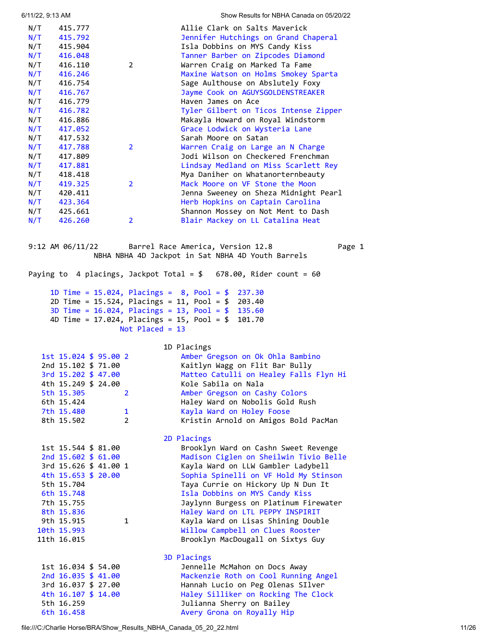| 6/11/22, 9:13 AM |                                                  |                   | Show Results for NBHA Canada on 05/20/22                              |
|------------------|--------------------------------------------------|-------------------|-----------------------------------------------------------------------|
|                  |                                                  |                   |                                                                       |
| N/T<br>N/T       | 415.777<br>415.792                               |                   | Allie Clark on Salts Maverick<br>Jennifer Hutchings on Grand Chaperal |
| N/T              | 415.904                                          |                   | Isla Dobbins on MYS Candy Kiss                                        |
| N/T              | 416.048                                          |                   | Tanner Barber on Zipcodes Diamond                                     |
| N/T              | 416.110                                          | $\overline{2}$    | Warren Craig on Marked Ta Fame                                        |
| N/T              | 416.246                                          |                   | Maxine Watson on Holms Smokey Sparta                                  |
| N/T              | 416.754                                          |                   | Sage Aulthouse on Abslutely Foxy                                      |
| N/T              | 416.767                                          |                   | Jayme Cook on AGUYSGOLDENSTREAKER                                     |
| N/T              | 416.779                                          |                   | Haven James on Ace                                                    |
| N/T              | 416.782                                          |                   | Tyler Gilbert on Ticos Intense Zipper                                 |
| N/T              | 416.886                                          |                   | Makayla Howard on Royal Windstorm                                     |
| N/T              | 417.052                                          |                   | Grace Lodwick on Wysteria Lane                                        |
| N/T              | 417.532                                          |                   | Sarah Moore on Satan                                                  |
| N/T              | 417.788                                          | 2 <sup>1</sup>    | Warren Craig on Large an N Charge                                     |
| N/T              | 417.809                                          |                   | Jodi Wilson on Checkered Frenchman                                    |
| N/T              | 417.881                                          |                   | Lindsay Medland on Miss Scarlett Rey                                  |
| N/T              | 418.418                                          |                   | Mya Daniher on Whatanorternbeauty                                     |
| N/T              | 419.325                                          | $\overline{2}$    | Mack Moore on VF Stone the Moon                                       |
| N/T              | 420.411                                          |                   | Jenna Sweeney on Sheza Midnight Pearl                                 |
| N/T              | 423.364                                          |                   | Herb Hopkins on Captain Carolina                                      |
| N/T              | 425.661                                          |                   | Shannon Mossey on Not Ment to Dash                                    |
| N/T              | 426.260                                          | $\overline{2}$    | Blair Mackey on LL Catalina Heat                                      |
|                  | 9:12 AM $06/11/22$                               |                   | Barrel Race America, Version 12.8<br>Page 1                           |
|                  |                                                  |                   | NBHA NBHA 4D Jackpot in Sat NBHA 4D Youth Barrels                     |
|                  |                                                  |                   | Paying to 4 placings, Jackpot Total = $$$ 678.00, Rider count = 60    |
|                  |                                                  |                   | 1D Time = $15.024$ , Placings = $8$ , Pool = $$237.30$                |
|                  |                                                  |                   | 2D Time = 15.524, Placings = 11, Pool = \$ 203.40                     |
|                  |                                                  |                   | 3D Time = $16.024$ , Placings = $13$ , Pool = $$$ 135.60              |
|                  | 4D Time = $17.024$ , Placings = $15$ , Pool = \$ |                   | 101.70                                                                |
|                  |                                                  | Not Placed = $13$ |                                                                       |
|                  |                                                  |                   | 1D Placings                                                           |
|                  | 1st 15.024 \$ 95.00 2                            |                   | Amber Gregson on Ok Ohla Bambino                                      |
|                  | 2nd 15.102 \$ 71.00                              |                   | Kaitlyn Wagg on Flit Bar Bully                                        |
|                  | 3rd 15.202 \$ 47.00                              |                   | Matteo Catulli on Healey Falls Flyn Hi                                |
|                  | 4th 15.249 \$ 24.00                              |                   | Kole Sabila on Nala                                                   |
|                  | 5th 15.305                                       | $\overline{2}$    | Amber Gregson on Cashy Colors                                         |
|                  | 6th 15.424                                       |                   | Haley Ward on Nobolis Gold Rush                                       |
|                  | 7th 15.480                                       | $\mathbf{1}$      | Kayla Ward on Holey Foose                                             |
|                  | 8th 15.502                                       | $\overline{2}$    | Kristin Arnold on Amigos Bold PacMan                                  |

<span id="page-10-0"></span> 2D Placings 1st 15.544 \$ 81.00 Brooklyn Ward on Cashn Sweet Revenge 2nd 15.602 \$ 61.00 Madison Ciglen on Sheilwin Tivio Belle 3rd 15.626 \$ 41.00 1 Kayla Ward on LLW Gambler Ladybell 4th 15.653 \$ 20.00 Sophia Spinelli on VF Hold My Stinson<br>5th 15.704 Stinson Taya Currie on Hickory Up N Dun It Taya Currie on Hickory Up N Dun It 6th 15.748 Isla Dobbins on MYS Candy Kiss 7th 15.755 Jaylynn Burgess on Platinum Firewater 8th 15.836 Haley Ward on LTL PEPPY INSPIRIT 9th 15.915 1 Kayla Ward on Lisas Shining Double 10th 15.993 Willow Campbell on Clues Rooster 11th 16.015 Brooklyn MacDougall on Sixtys Guy 3D Placings 1st 16.034 \$ 54.00 Jennelle McMahon on Docs Away

 2nd 16.035 \$ 41.00 Mackenzie Roth on Cool Running Angel 3rd 16.037 \$ 27.00 Hannah Lucio on Peg Olenas SIlver 4th 16.107 \$ 14.00 Haley Silliker on Rocking The Clock 5th 16.259 Julianna Sherry on Bailey 6th 16.458 Avery Grona on Royally Hip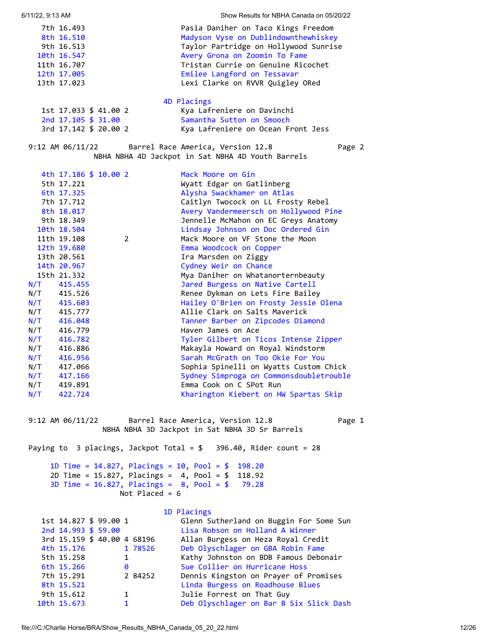<span id="page-11-0"></span>

| 6/11/22, 9:13 AM |                            |                       |                             | Show Results for NBHA Canada on 05/20/22                                                                       |
|------------------|----------------------------|-----------------------|-----------------------------|----------------------------------------------------------------------------------------------------------------|
|                  | 7th 16.493                 |                       |                             | Pasia Daniher on Taco Kings Freedom                                                                            |
|                  | 8th 16.510                 |                       |                             | Madyson Vyse on Dublindownthewhiskey                                                                           |
|                  | 9th 16.513                 |                       |                             | Taylor Partridge on Hollywood Sunrise                                                                          |
|                  | 10th 16.547                |                       |                             | Avery Grona on Zoomin To Fame                                                                                  |
|                  | 11th 16.707                |                       |                             | Tristan Currie on Genuine Ricochet                                                                             |
|                  | 12th 17.005                |                       |                             | Emilee Langford on Tessavar                                                                                    |
|                  | 13th 17.023                |                       |                             | Lexi Clarke on RVVR Quigley ORed                                                                               |
|                  |                            |                       |                             |                                                                                                                |
|                  |                            |                       |                             | 4D Placings                                                                                                    |
|                  |                            | 1st 17.033 \$ 41.00 2 |                             | Kya Lafreniere on Davinchi                                                                                     |
|                  |                            | 2nd 17.105 \$ 31.00   |                             | Samantha Sutton on Smooch                                                                                      |
|                  |                            | 3rd 17.142 \$ 20.00 2 |                             | Kya Lafreniere on Ocean Front Jess                                                                             |
|                  | 9:12 AM $\frac{06}{11/22}$ |                       |                             | Barrel Race America, Version 12.8<br>Page 2<br>NBHA NBHA 4D Jackpot in Sat NBHA 4D Youth Barrels               |
|                  |                            |                       |                             |                                                                                                                |
|                  |                            | 4th 17.186 \$ 10.00 2 |                             | Mack Moore on Gin                                                                                              |
|                  | 5th 17.221                 |                       |                             | Wyatt Edgar on Gatlinberg                                                                                      |
|                  | 6th 17.325                 |                       |                             | Alysha Swackhamer on Atlas                                                                                     |
|                  | 7th 17.712                 |                       |                             | Caitlyn Twocock on LL Frosty Rebel                                                                             |
|                  | 8th 18.017                 |                       |                             | Avery Vandermeersch on Hollywood Pine                                                                          |
|                  | 9th 18.349                 |                       |                             | Jennelle McMahon on EC Greys Anatomy                                                                           |
|                  | 10th 18.504                |                       |                             | Lindsay Johnson on Doc Ordered Gin                                                                             |
|                  | 11th 19.108                |                       | 2                           | Mack Moore on VF Stone the Moon                                                                                |
|                  | 12th 19.680                |                       |                             | Emma Woodcock on Copper                                                                                        |
|                  | 13th 20.561                |                       |                             | Ira Marsden on Ziggy                                                                                           |
|                  | 14th 20.967                |                       |                             | Cydney Weir on Chance                                                                                          |
|                  | 15th 21.332                |                       |                             | Mya Daniher on Whatanorternbeauty                                                                              |
| N/T              | 415.455                    |                       |                             | Jared Burgess on Native Cartell                                                                                |
|                  | N/T 415.526<br>N/T 415.603 |                       |                             | Renee Dykman on Lets Fire Bailey                                                                               |
|                  |                            |                       |                             | Hailey O'Brien on Frosty Jessie Olena                                                                          |
|                  | $N/T$ 415.777              |                       |                             | Allie Clark on Salts Maverick                                                                                  |
| N/T              | 416.048                    |                       |                             | Tanner Barber on Zipcodes Diamond                                                                              |
|                  | $N/T$ 416.779              |                       |                             | Haven James on Ace                                                                                             |
|                  | $N/T$ 416.782              |                       |                             | Tyler Gilbert on Ticos Intense Zipper                                                                          |
|                  | N/T 416.886                |                       |                             | Makayla Howard on Royal Windstorm                                                                              |
|                  | $N/T$ 416.956              |                       |                             | Sarah McGrath on Too Okie For You                                                                              |
| N/T              | 417.066                    |                       |                             | Sophia Spinelli on Wyatts Custom Chick                                                                         |
| N/T              | 417.166                    |                       |                             | Sydney Simproga on Commonsdoubletrouble                                                                        |
| N/T              | 419.891                    |                       |                             | Emma Cook on C SPot Run                                                                                        |
| N/T              | 422.724                    |                       |                             | Kharington Kiebert on HW Spartas Skip                                                                          |
|                  |                            |                       |                             | 9:12 AM 06/11/22 Barrel Race America, Version 12.8<br>Page 1<br>NBHA NBHA 3D Jackpot in Sat NBHA 3D Sr Barrels |
|                  |                            |                       |                             | Paying to 3 placings, Jackpot Total = $$396.40$ , Rider count = 28                                             |
|                  |                            |                       |                             | 1D Time = $14.827$ , Placings = $10$ , Pool = \$<br>198.20                                                     |
|                  |                            |                       |                             | 2D Time = $15.827$ , Placings = $4$ , Pool = \$<br>118.92                                                      |
|                  |                            |                       |                             | 3D Time = $16.827$ , Placings = $8$ , Pool = \$<br>79.28                                                       |
|                  |                            |                       | Not Placed = $6$            |                                                                                                                |
|                  |                            |                       |                             |                                                                                                                |
|                  |                            | 1st 14.827 \$ 99.00 1 |                             | 1D Placings<br>Glenn Sutherland on Buggin For Some Sun                                                         |
|                  |                            | 2nd 14.993 \$ 59.00   |                             | Lisa Robson on Holland A Winner                                                                                |
|                  |                            |                       | 3rd 15.159 \$ 40.00 4 68196 | Allan Burgess on Heza Royal Credit                                                                             |
|                  | 4th 15.176                 |                       | 1 78526                     | Deb Olyschlager on GBA Robin Fame                                                                              |
|                  | 5th 15.258                 |                       | $\mathbf{1}$                | Kathy Johnston on BDB Famous Debonair                                                                          |
|                  | 6th 15.266                 |                       | 0                           | Sue Collier on Hurricane Hoss                                                                                  |
|                  | 7th 15.291                 |                       | 2 84252                     | Dennis Kingston on Prayer of Promises                                                                          |
|                  | 8th 15.521                 |                       |                             | Linda Burgess on Roadhouse Blues                                                                               |
|                  | 9th 15.612                 |                       | 1                           | Julie Forrest on That Guy                                                                                      |
|                  | 10th 15.673                |                       | $\mathbf{1}$                | Deb Olyschlager on Bar B Six Slick Dash                                                                        |
|                  |                            |                       |                             |                                                                                                                |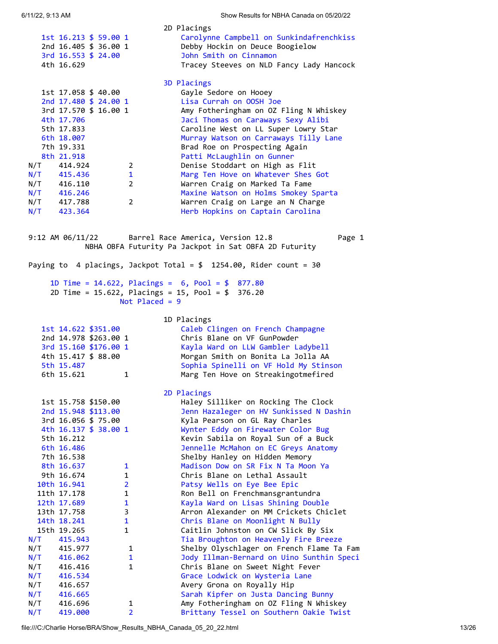<span id="page-12-0"></span>

| 6/11/22, 9:13 AM                                            | Show Results for NBHA Canada on 05/20/22                                                                          |
|-------------------------------------------------------------|-------------------------------------------------------------------------------------------------------------------|
|                                                             | 2D Placings                                                                                                       |
| 1st 16.213 \$ 59.00 1<br>2nd 16.405 \$ 36.00 1              | Carolynne Campbell on Sunkindafrenchkiss<br>Debby Hockin on Deuce Boogielow                                       |
| 3rd 16.553 \$ 24.00                                         | John Smith on Cinnamon                                                                                            |
| 4th 16.629                                                  | Tracey Steeves on NLD Fancy Lady Hancock                                                                          |
|                                                             | 3D Placings                                                                                                       |
| 1st 17.058 \$ 40.00                                         | Gayle Sedore on Hooey                                                                                             |
| 2nd 17.480 \$ 24.00 1<br>3rd 17.570 \$ 16.00 1              | Lisa Currah on OOSH Joe<br>Amy Fotheringham on OZ Fling N Whiskey                                                 |
| 4th 17.706                                                  | Jaci Thomas on Caraways Sexy Alibi                                                                                |
| 5th 17.833                                                  | Caroline West on LL Super Lowry Star                                                                              |
| 6th 18.007                                                  | Murray Watson on Carraways Tilly Lane                                                                             |
| 7th 19.331                                                  | Brad Roe on Prospecting Again                                                                                     |
| 8th 21.918<br>N/T<br>414.924<br>$2^{\circ}$                 | Patti McLaughlin on Gunner<br>Denise Stoddart on High as Flit                                                     |
| $\mathbf{1}$                                                | Marg Ten Hove on Whatever Shes Got                                                                                |
| $N/T$ 415.436<br>$N/T$ 416.110<br>$\mathbf{2}$              | Warren Craig on Marked Ta Fame                                                                                    |
| $N/T$ 416.246                                               | Maxine Watson on Holms Smokey Sparta                                                                              |
| N/T 417.788<br>$\mathbf{2}^{\prime}$                        | Warren Craig on Large an N Charge                                                                                 |
| $N/T$ 423.364                                               | Herb Hopkins on Captain Carolina                                                                                  |
| 9:12 AM $06/11/22$                                          | Barrel Race America, Version 12.8<br>Page 1<br>NBHA OBFA Futurity Pa Jackpot in Sat OBFA 2D Futurity              |
|                                                             | Paying to 4 placings, Jackpot Total = $$1254.00$ , Rider count = 30                                               |
|                                                             |                                                                                                                   |
| Not Placed = $9$                                            | 1D Time = $14.622$ , Placings = $6$ , Pool = $$877.80$<br>2D Time = $15.622$ , Placings = $15$ , Pool = $$376.20$ |
|                                                             | 1D Placings                                                                                                       |
| 1st 14.622 \$351.00                                         | Caleb Clingen on French Champagne                                                                                 |
| 2nd 14.978 \$263.00 1                                       | Chris Blane on VF GunPowder                                                                                       |
| 3rd 15.160 \$176.00 1<br>4th 15.417 \$ 88.00                | Kayla Ward on LLW Gambler Ladybell<br>Morgan Smith on Bonita La Jolla AA                                          |
| 5th 15.487                                                  | Sophia Spinelli on VF Hold My Stinson                                                                             |
| 6th 15.621<br>1                                             | Marg Ten Hove on Streakingotmefired                                                                               |
|                                                             | 2D Placings                                                                                                       |
| 1st 15.758 \$150.00                                         | Haley Silliker on Rocking The Clock                                                                               |
| 2nd 15.948 \$113.00                                         | Jenn Hazaleger on HV Sunkissed N Dashin                                                                           |
| 3rd 16.056 \$ 75.00<br>4th 16.137 \$ 38.00 1                | Kyla Pearson on GL Ray Charles<br>Wynter Eddy on Firewater Color Bug                                              |
| 5th 16.212                                                  | Kevin Sabila on Royal Sun of a Buck                                                                               |
| 6th 16.486                                                  | Jennelle McMahon on EC Greys Anatomy                                                                              |
| 7th 16.538                                                  | Shelby Hanley on Hidden Memory                                                                                    |
| 8th 16.637<br>1                                             | Madison Dow on SR Fix N Ta Moon Ya                                                                                |
| 9th 16.674<br>$\mathbf{1}$                                  | Chris Blane on Lethal Assault                                                                                     |
| $\overline{2}$<br>10th 16.941<br>$\mathbf 1$<br>11th 17.178 | Patsy Wells on Eye Bee Epic<br>Ron Bell on Frenchmansgrantundra                                                   |
| $\mathbf{1}$<br>12th 17.689                                 | Kayla Ward on Lisas Shining Double                                                                                |
| 3<br>13th 17.758                                            | Arron Alexander on MM Crickets Chiclet                                                                            |
| $\mathbf{1}$<br>14th 18.241                                 | Chris Blane on Moonlight N Bully                                                                                  |
| $\mathbf{1}$<br>15th 19.265                                 | Caitlin Johnston on CW Slick By Six                                                                               |
| N/T<br>415.943                                              | Tia Broughton on Heavenly Fire Breeze                                                                             |
| N/T<br>415.977<br>1<br>N/T<br>416.062<br>$\mathbf{1}$       | Shelby Olyschlager on French Flame Ta Fam<br>Jody Illman-Bernard on Uino Sunthin Speci                            |
| $\mathbf{1}$<br>N/T<br>416.416                              | Chris Blane on Sweet Night Fever                                                                                  |
| N/T<br>416.534                                              | Grace Lodwick on Wysteria Lane                                                                                    |
| N/T<br>416.657                                              | Avery Grona on Royally Hip                                                                                        |
| N/T<br>416.665                                              | Sarah Kipfer on Justa Dancing Bunny                                                                               |

N/T 416.696 1 Amy Fotheringham on OZ Fling N Whiskey N/T 419.000 2 Brittany Tessel on Southern Oakie Twist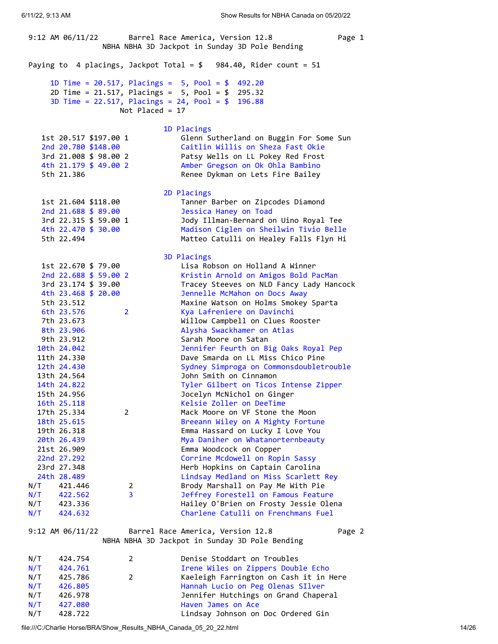<span id="page-13-0"></span>9:12 AM 06/11/22 Barrel Race America, Version 12.8 Page 1 NBHA NBHA 3D Jackpot in Sunday 3D Pole Bending Paying to 4 placings, Jackpot Total =  $$984.40$ , Rider count = 51 1D Time = 20.517, Placings = 5, Pool = \$ 492.20 2D Time = 21.517, Placings = 5, Pool = \$ 295.32 3D Time = 22.517, Placings = 24, Pool = \$ 196.88 Not Placed = 17 1D Placings 1st 20.517 \$197.00 1 Glenn Sutherland on Buggin For Some Sun 2nd 20.780 \$148.00 Caitlin Willis on Sheza Fast Okie 3rd 21.008 \$ 98.00 2 Patsy Wells on LL Pokey Red Frost 4th 21.179 \$ 49.00 2 Amber Gregson on Ok Ohla Bambino 5th 21.386 Renee Dykman on Lets Fire Bailey 2D Placings 1st 21.604 \$118.00 Tanner Barber on Zipcodes Diamond 2nd 21.688 \$ 89.00 Jessica Haney on Toad 3rd 22.315 \$ 59.00 1 Jody Illman-Bernard on Uino Royal Tee 4th 22.470 \$ 30.00 Madison Ciglen on Sheilwin Tivio Belle 5th 22.494 Matteo Catulli on Healey Falls Flyn Hi 3D Placings 1st 22.670 \$ 79.00 Lisa Robson on Holland A Winner 2nd 22.688 \$ 59.00 2 Kristin Arnold on Amigos Bold PacMan 3rd 23.174 \$ 39.00 Tracey Steeves on NLD Fancy Lady Hancock 4th 23.468 \$ 20.00 Jennelle McMahon on Docs Away 5th 23.512 Maxine Watson on Holms Smokey Sparta 6th 23.576 2 Kya Lafreniere on Davinchi 7th 23.673 Willow Campbell on Clues Rooster 8th 23.906 Alysha Swackhamer on Atlas 9th 23.912 Sarah Moore on Satan 10th 24.042 Jennifer Feurth on Big Oaks Royal Pep 11th 24.330 Dave Smarda on LL Miss Chico Pine 12th 24.430 Sydney Simproga on Commonsdoubletrouble 13th 24.564 John Smith on Cinnamon 14th 24.822 Tyler Gilbert on Ticos Intense Zipper 15th 24.956 Jocelyn McNichol on Ginger 16th 25.118 Kelsie Zoller on DeeTime 17th 25.334 2 Mack Moore on VF Stone the Moon 18th 25.615 Breeann Wiley on A Mighty Fortune 19th 26.318 Emma Hassard on Lucky I Love You 20th 26.439 Mya Daniher on Whatanorternbeauty 21st 26.909 Emma Woodcock on Copper 22nd 27.292 Corrine Mcdowell on Ropin Sassy 23rd 27.348 Herb Hopkins on Captain Carolina 24th 28.489 Lindsay Medland on Miss Scarlett Rey N/T 421.446 2 Brody Marshall on Pay Me With Pie N/T 422.562 3 Jeffrey Forestell on Famous Feature N/T 423.336 Hailey O'Brien on Frosty Jessie Olena N/T 424.632 Charlene Catulli on Frenchmans Fuel 9:12 AM 06/11/22 Barrel Race America, Version 12.8 Page 2 NBHA NBHA 3D Jackpot in Sunday 3D Pole Bending

| N/T | 424.754 |   | Denise Stoddart on Troubles            |
|-----|---------|---|----------------------------------------|
| N/T | 424.761 |   | Irene Wiles on Zippers Double Echo     |
| N/T | 425.786 | 2 | Kaeleigh Farrington on Cash it in Here |
| N/T | 426.805 |   | Hannah Lucio on Peg Olenas SIlver      |
| N/T | 426.978 |   | Jennifer Hutchings on Grand Chaperal   |
| N/T | 427.080 |   | Haven James on Ace                     |
| N/T | 428.722 |   | Lindsay Johnson on Doc Ordered Gin     |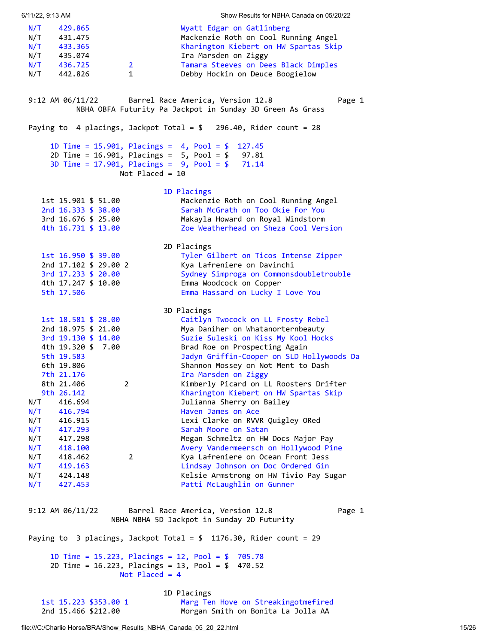<span id="page-14-1"></span><span id="page-14-0"></span>6/11/22, 9:13 AM Show Results for NBHA Canada on 05/20/22 N/T 429.865 Wyatt Edgar on Gatlinberg N/T 431.475 Mackenzie Roth on Cool Running Angel N/T 433.365 Kharington Kiebert on HW Spartas Skip<br>N/T 435.074 Ira Marsden on Ziggy<br>N/T 436.725 2 Tamara Steeves on Dees Black Dimples N/T 435.074 Ira Marsden on Ziggy N/T 436.725 2 Tamara Steeves on Dees Black Dimples N/T 442.826 1 Debby Hockin on Deuce Boogielow 9:12 AM 06/11/22 Barrel Race America, Version 12.8 Page 1 NBHA OBFA Futurity Pa Jackpot in Sunday 3D Green As Grass Paying to 4 placings, Jackpot Total = \$ 296.40, Rider count = 28 1D Time = 15.901, Placings = 4, Pool = \$ 127.45 2D Time = 16.901, Placings = 5, Pool = \$ 97.81 3D Time = 17.901, Placings = 9, Pool = \$ 71.14 Not Placed = 10 1D Placings 1st 15.901 \$ 51.00 Mackenzie Roth on Cool Running Angel 2nd 16.333 \$ 38.00 Sarah McGrath on Too Okie For You 3rd 16.676 \$ 25.00 Makayla Howard on Royal Windstorm 4th 16.731 \$ 13.00 Zoe Weatherhead on Sheza Cool Version 2D Placings 1st 16.950 \$ 39.00 Tyler Gilbert on Ticos Intense Zipper 2nd 17.102 \$ 29.00 2 Kya Lafreniere on Davinchi 3rd 17.233 \$ 20.00 Sydney Simproga on Commonsdoubletrouble 4th 17.247 \$ 10.00 Emma Woodcock on Copper 5th 17.506 Emma Hassard on Lucky I Love You 3D Placings 1st 18.581 \$ 28.00 Caitlyn Twocock on LL Frosty Rebel 2nd 18.975 \$ 21.00 Mya Daniher on Whatanorternbeauty 3rd 19.130 \$ 14.00 Suzie Suleski on Kiss My Kool Hocks 4th 19.320 \$ 7.00 Brad Roe on Prospecting Again 5th 19.583 Jadyn Griffin-Cooper on SLD Hollywoods Da 6th 19.806 Shannon Mossey on Not Ment to Dash 7th 21.176 Ira Marsden on Ziggy 8th 21.406 2 2 Kimberly Picard on LL Roosters Drifter<br>9th 26.142 2 2 2 Kharington Kiebert on HW Spartas Skip Kharington Kiebert on HW Spartas Skip N/T 416.694 Julianna Sherry on Bailey N/T 416.794 Haven James on Ace N/T 416.915 Lexi Clarke on RVVR Quigley ORed N/T 417.293 Sarah Moore on Satan N/T 417.298 Megan Schmeltz on HW Docs Major Pay N/T 418.100 Avery Vandermeersch on Hollywood Pine N/T 418.462 2 Kya Lafreniere on Ocean Front Jess N/T 419.163 Lindsay Johnson on Doc Ordered Gin N/T 424.148 Kelsie Armstrong on HW Tivio Pay Sugar N/T 427.453 Patti McLaughlin on Gunner 9:12 AM 06/11/22 Barrel Race America, Version 12.8 Page 1 NBHA NBHA 5D Jackpot in Sunday 2D Futurity Paying to 3 placings, Jackpot Total = \$ 1176.30, Rider count = 29 1D Time = 15.223, Placings = 12, Pool = \$ 705.78 2D Time = 16.223, Placings = 13, Pool = \$ 470.52 Not Placed = 4 1D Placings 1st 15.223 \$353.00 1 Marg Ten Hove on Streakingotmefired 2nd 15.466 \$212.00 Morgan Smith on Bonita La Jolla AA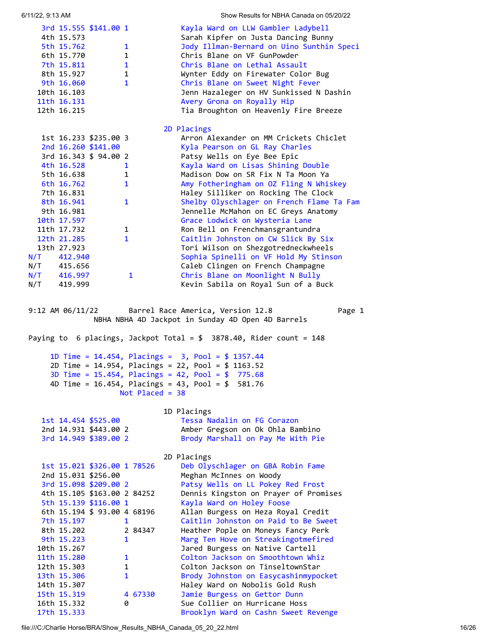<span id="page-15-0"></span>

| 6/11/22, 9:13 AM                                                                                                   | Show Results for NBHA Canada on 05/20/22                                                                                                                                               |
|--------------------------------------------------------------------------------------------------------------------|----------------------------------------------------------------------------------------------------------------------------------------------------------------------------------------|
| 3rd 15.555 \$141.00 1<br>4th 15.573<br>5th 15.762<br>1<br>6th 15.770<br>$\mathbf{1}$<br>7th 15.811<br>$\mathbf{1}$ | Kayla Ward on LLW Gambler Ladybell<br>Sarah Kipfer on Justa Dancing Bunny<br>Jody Illman-Bernard on Uino Sunthin Speci<br>Chris Blane on VF GunPowder<br>Chris Blane on Lethal Assault |
| 8th 15.927<br>$\mathbf{1}$                                                                                         | Wynter Eddy on Firewater Color Bug                                                                                                                                                     |
| 9th 16.060<br>$\mathbf{1}$                                                                                         | Chris Blane on Sweet Night Fever                                                                                                                                                       |
| 10th 16.103<br>11th 16.131                                                                                         | Jenn Hazaleger on HV Sunkissed N Dashin<br>Avery Grona on Royally Hip                                                                                                                  |
| 12th 16.215                                                                                                        | Tia Broughton on Heavenly Fire Breeze                                                                                                                                                  |
|                                                                                                                    | 2D Placings                                                                                                                                                                            |
| 1st 16.233 \$235.00 3                                                                                              | Arron Alexander on MM Crickets Chiclet                                                                                                                                                 |
| 2nd 16.260 \$141.00<br>3rd 16.343 \$ 94.00 2                                                                       | Kyla Pearson on GL Ray Charles<br>Patsy Wells on Eye Bee Epic                                                                                                                          |
| 4th 16.528<br>$\mathbf{1}$                                                                                         | Kayla Ward on Lisas Shining Double                                                                                                                                                     |
| 5th 16.638<br>$\mathbf{1}$                                                                                         | Madison Dow on SR Fix N Ta Moon Ya                                                                                                                                                     |
| 6th 16.762<br>$\mathbf{1}$<br>7th 16.831                                                                           | Amy Fotheringham on OZ Fling N Whiskey<br>Haley Silliker on Rocking The Clock                                                                                                          |
| 8th 16.941<br>$\mathbf{1}$                                                                                         | Shelby Olyschlager on French Flame Ta Fam                                                                                                                                              |
| 9th 16.981                                                                                                         | Jennelle McMahon on EC Greys Anatomy                                                                                                                                                   |
| 10th 17.597                                                                                                        | Grace Lodwick on Wysteria Lane<br>Ron Bell on Frenchmansgrantundra                                                                                                                     |
| 11th 17.732<br>$\mathbf{1}$<br>$\mathbf{1}$<br>12th 21.285                                                         | Caitlin Johnston on CW Slick By Six                                                                                                                                                    |
| 13th 27.923                                                                                                        | Tori Wilson on Shezgotredneckwheels                                                                                                                                                    |
| N/T 412.940                                                                                                        | Sophia Spinelli on VF Hold My Stinson                                                                                                                                                  |
| N/T 415.656<br>$\mathbf{1}$                                                                                        | Caleb Clingen on French Champagne<br>Chris Blane on Moonlight N Bully                                                                                                                  |
| N/T 416.997<br>N/T 419.999                                                                                         | Kevin Sabila on Royal Sun of a Buck                                                                                                                                                    |
| 9:12 AM $\frac{06}{11/22}$                                                                                         | Barrel Race America, Version 12.8<br>Page 1<br>NBHA NBHA 4D Jackpot in Sunday 4D Open 4D Barrels<br>Paying to 6 placings, Jackpot Total = $$3878.40$ , Rider count = 148               |
|                                                                                                                    | 1D Time = $14.454$ , Placings = $3$ , Pool = \$ 1357.44                                                                                                                                |
|                                                                                                                    | 2D Time = 14.954, Placings = 22, Pool = \$ 1163.52                                                                                                                                     |
|                                                                                                                    | 3D Time = $15.454$ , Placings = $42$ , Pool = $$775.68$                                                                                                                                |
|                                                                                                                    | 4D Time = $16.454$ , Placings = $43$ , Pool = $$$<br>581.76<br>Not Placed = $38$                                                                                                       |
|                                                                                                                    |                                                                                                                                                                                        |
| 1st 14.454 \$525.00                                                                                                | 1D Placings<br>Tessa Nadalin on FG Corazon                                                                                                                                             |
| 2nd 14.931 \$443.00 2                                                                                              | Amber Gregson on Ok Ohla Bambino                                                                                                                                                       |
| 3rd 14.949 \$389.00 2                                                                                              | Brody Marshall on Pay Me With Pie                                                                                                                                                      |
|                                                                                                                    | 2D Placings                                                                                                                                                                            |
| 1st 15.021 \$326.00 1 78526                                                                                        | Deb Olyschlager on GBA Robin Fame                                                                                                                                                      |
| 2nd 15.031 \$256.00<br>3rd 15.098 \$209.00 2                                                                       | Meghan McInnes on Woody<br>Patsy Wells on LL Pokey Red Frost                                                                                                                           |
| 4th 15.105 \$163.00 2 84252                                                                                        | Dennis Kingston on Prayer of Promises                                                                                                                                                  |
| 5th 15.139 \$116.00 1                                                                                              | Kayla Ward on Holey Foose                                                                                                                                                              |
| 6th 15.194 \$ 93.00 4 68196<br>7th 15.197<br>$\mathbf{1}$                                                          | Allan Burgess on Heza Royal Credit<br>Caitlin Johnston on Paid to Be Sweet                                                                                                             |
| 8th 15.202                                                                                                         | Heather Pople on Moneys Fancy Perk<br>2 84347                                                                                                                                          |
| 9th 15.223<br>1                                                                                                    | Marg Ten Hove on Streakingotmefired                                                                                                                                                    |
| 10th 15.267<br>$\mathbf{1}$<br>11th 15.280                                                                         | Jared Burgess on Native Cartell<br>Colton Jackson on Smoothtown Whiz                                                                                                                   |
| 12th 15.303<br>1                                                                                                   | Colton Jackson on TinseltownStar                                                                                                                                                       |
| 13th 15.306<br>1                                                                                                   | Brody Johnston on Easycashinmypocket                                                                                                                                                   |
| 14th 15.307<br>15th 15.319                                                                                         | Haley Ward on Nobolis Gold Rush<br>Jamie Burgess on Gettor Dunn<br>4 67330                                                                                                             |
| 16th 15.332<br>0                                                                                                   | Sue Collier on Hurricane Hoss                                                                                                                                                          |
| 17th 15.333                                                                                                        | Brooklyn Ward on Cashn Sweet Revenge                                                                                                                                                   |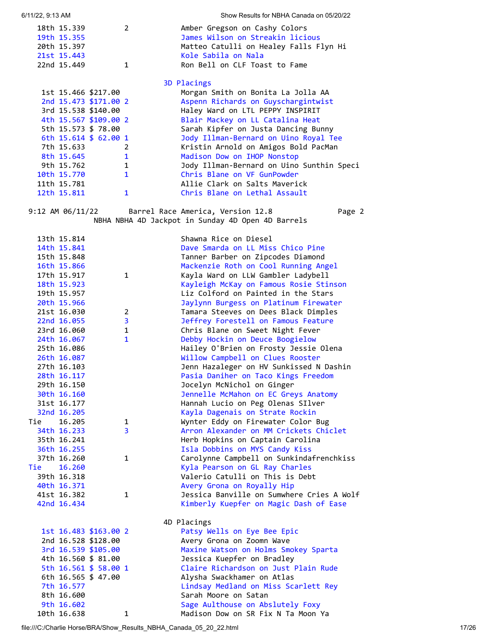| 18th 15.339             | $\overline{2}$ | Amber Gregson on Cashy Colors             |
|-------------------------|----------------|-------------------------------------------|
| 19th 15.355             |                | James Wilson on Streakin licious          |
| 20th 15.397             |                | Matteo Catulli on Healey Falls Flyn Hi    |
| 21st 15.443             |                | Kole Sabila on Nala                       |
| 22nd 15.449             | 1              | Ron Bell on CLF Toast to Fame             |
|                         |                | 3D Placings                               |
| 1st 15.466 \$217.00     |                | Morgan Smith on Bonita La Jolla AA        |
| 2nd 15,473 \$171.00 2   |                | Aspenn Richards on Guyschargintwist       |
| 3rd 15.538 \$140.00     |                | Haley Ward on LTL PEPPY INSPIRIT          |
| 4th 15.567 \$109.00 2   |                | Blair Mackey on LL Catalina Heat          |
| 5th 15.573 \$ 78.00     |                | Sarah Kipfer on Justa Dancing Bunny       |
| 6th $15.614 \pm 62.001$ |                | Jody Illman-Bernard on Uino Royal Tee     |
| 7th 15.633              | 2              | Kristin Arnold on Amigos Bold PacMan      |
| 8th 15.645              | $\mathbf{1}$   | Madison Dow on IHOP Nonstop               |
| 9th 15.762              | $\mathbf{1}$   | Jody Illman-Bernard on Uino Sunthin Speci |
| 10th 15.770             | $\mathbf{1}$   | Chris Blane on VF GunPowder               |
| 11th 15.781             |                | Allie Clark on Salts Maverick             |
| 12th 15.811             | 1              | Chris Blane on Lethal Assault             |
|                         |                |                                           |

6/11/22, 9:13 AM Show Results for NBHA Canada on 05/20/22

9:12 AM 06/11/22 Barrel Race America, Version 12.8 Page 2 NBHA NBHA 4D Jackpot in Sunday 4D Open 4D Barrels

|     | 13th 15.814 |                       |                | Shawna Rice on Diesel                     |
|-----|-------------|-----------------------|----------------|-------------------------------------------|
|     | 14th 15.841 |                       |                | Dave Smarda on LL Miss Chico Pine         |
|     | 15th 15.848 |                       |                | Tanner Barber on Zipcodes Diamond         |
|     | 16th 15.866 |                       |                | Mackenzie Roth on Cool Running Angel      |
|     | 17th 15.917 |                       | $\mathbf{1}$   | Kayla Ward on LLW Gambler Ladybell        |
|     | 18th 15.923 |                       |                | Kayleigh McKay on Famous Rosie Stinson    |
|     | 19th 15.957 |                       |                | Liz Colford on Painted in the Stars       |
|     | 20th 15.966 |                       |                | Jaylynn Burgess on Platinum Firewater     |
|     | 21st 16.030 |                       | 2              | Tamara Steeves on Dees Black Dimples      |
|     | 22nd 16.055 |                       | 3              | Jeffrey Forestell on Famous Feature       |
|     | 23rd 16.060 |                       | $\mathbf{1}$   | Chris Blane on Sweet Night Fever          |
|     | 24th 16.067 |                       | $\mathbf{1}$   | Debby Hockin on Deuce Boogielow           |
|     | 25th 16.086 |                       |                | Hailey O'Brien on Frosty Jessie Olena     |
|     | 26th 16.087 |                       |                | Willow Campbell on Clues Rooster          |
|     | 27th 16.103 |                       |                | Jenn Hazaleger on HV Sunkissed N Dashin   |
|     | 28th 16.117 |                       |                | Pasia Daniher on Taco Kings Freedom       |
|     | 29th 16.150 |                       |                | Jocelyn McNichol on Ginger                |
|     | 30th 16.160 |                       |                | Jennelle McMahon on EC Greys Anatomy      |
|     | 31st 16.177 |                       |                | Hannah Lucio on Peg Olenas SIlver         |
|     | 32nd 16.205 |                       |                | Kayla Dagenais on Strate Rockin           |
| Tie | 16.205      |                       | 1              | Wynter Eddy on Firewater Color Bug        |
|     | 34th 16.233 |                       | $\overline{3}$ | Arron Alexander on MM Crickets Chiclet    |
|     | 35th 16.241 |                       |                | Herb Hopkins on Captain Carolina          |
|     | 36th 16.255 |                       |                | Isla Dobbins on MYS Candy Kiss            |
|     | 37th 16.260 |                       | 1              | Carolynne Campbell on Sunkindafrenchkiss  |
| Tie | 16.260      |                       |                | Kyla Pearson on GL Ray Charles            |
|     | 39th 16.318 |                       |                | Valerio Catulli on This is Debt           |
|     | 40th 16.371 |                       |                | Avery Grona on Royally Hip                |
|     | 41st 16.382 |                       | $\mathbf{1}$   | Jessica Banville on Sumwhere Cries A Wolf |
|     | 42nd 16.434 |                       |                | Kimberly Kuepfer on Magic Dash of Ease    |
|     |             |                       |                | 4D Placings                               |
|     |             | 1st 16.483 \$163.00 2 |                | Patsy Wells on Eye Bee Epic               |
|     |             | 2nd 16.528 \$128.00   |                | Avery Grona on Zoomn Wave                 |
|     |             | 3rd 16.539 \$105.00   |                | Maxine Watson on Holms Smokey Sparta      |
|     |             | 4th 16.560 \$ 81.00   |                | Jessica Kuepfer on Bradley                |
|     |             | 5th 16.561 \$ 58.00 1 |                | Claire Richardson on Just Plain Rude      |
|     |             | 6th 16.565 \$ 47.00   |                | Alysha Swackhamer on Atlas                |
|     | 7th 16.577  |                       |                | Lindsay Medland on Miss Scarlett Rey      |
|     | 8th 16.600  |                       |                | Sarah Moore on Satan                      |
|     | 9th 16.602  |                       |                | Sage Aulthouse on Abslutely Foxy          |

10th 16.638 1 Madison Dow on SR Fix N Ta Moon Ya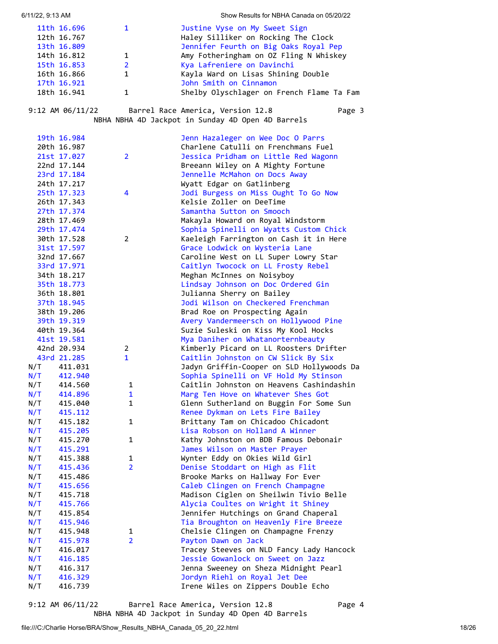| 6/11/22, 9:13 AM |  |  |
|------------------|--|--|
|------------------|--|--|

Show Results for NBHA Canada on 05/20/22

| 11th 16.696 |              | Justine Vyse on My Sweet Sign             |
|-------------|--------------|-------------------------------------------|
| 12th 16.767 |              | Haley Silliker on Rocking The Clock       |
| 13th 16.809 |              | Jennifer Feurth on Big Oaks Royal Pep     |
| 14th 16.812 | $\mathbf{1}$ | Amy Fotheringham on OZ Fling N Whiskey    |
| 15th 16.853 | $2^{\circ}$  | Kya Lafreniere on Davinchi                |
| 16th 16.866 |              | Kayla Ward on Lisas Shining Double        |
| 17th 16.921 |              | John Smith on Cinnamon                    |
| 18th 16.941 |              | Shelby Olyschlager on French Flame Ta Fam |

9:12 AM 06/11/22 Barrel Race America, Version 12.8 Page 3

NBHA NBHA 4D Jackpot in Sunday 4D Open 4D Barrels

|     | 19th 16.984 |                | Jenn Hazaleger on Wee Doc O Parrs         |
|-----|-------------|----------------|-------------------------------------------|
|     | 20th 16.987 |                | Charlene Catulli on Frenchmans Fuel       |
|     | 21st 17.027 | $\overline{2}$ | Jessica Pridham on Little Red Wagonn      |
|     | 22nd 17.144 |                | Breeann Wiley on A Mighty Fortune         |
|     | 23rd 17.184 |                | Jennelle McMahon on Docs Away             |
|     | 24th 17.217 |                | Wyatt Edgar on Gatlinberg                 |
|     | 25th 17.323 | 4              | Jodi Burgess on Miss Ought To Go Now      |
|     | 26th 17.343 |                | Kelsie Zoller on DeeTime                  |
|     | 27th 17.374 |                | Samantha Sutton on Smooch                 |
|     | 28th 17.469 |                | Makayla Howard on Royal Windstorm         |
|     | 29th 17.474 |                | Sophia Spinelli on Wyatts Custom Chick    |
|     | 30th 17.528 | 2              | Kaeleigh Farrington on Cash it in Here    |
|     | 31st 17.597 |                | Grace Lodwick on Wysteria Lane            |
|     | 32nd 17.667 |                | Caroline West on LL Super Lowry Star      |
|     | 33rd 17.971 |                | Caitlyn Twocock on LL Frosty Rebel        |
|     | 34th 18.217 |                | Meghan McInnes on Noisyboy                |
|     | 35th 18.773 |                | Lindsay Johnson on Doc Ordered Gin        |
|     | 36th 18.801 |                | Julianna Sherry on Bailey                 |
|     | 37th 18.945 |                | Jodi Wilson on Checkered Frenchman        |
|     | 38th 19.206 |                | Brad Roe on Prospecting Again             |
|     | 39th 19.319 |                | Avery Vandermeersch on Hollywood Pine     |
|     | 40th 19.364 |                | Suzie Suleski on Kiss My Kool Hocks       |
|     | 41st 19.581 |                | Mya Daniher on Whatanorternbeauty         |
|     | 42nd 20.934 | 2              | Kimberly Picard on LL Roosters Drifter    |
|     | 43rd 21.285 | $\mathbf{1}$   | Caitlin Johnston on CW Slick By Six       |
| N/T | 411.031     |                | Jadyn Griffin-Cooper on SLD Hollywoods Da |
| N/T | 412.940     |                | Sophia Spinelli on VF Hold My Stinson     |
| N/T | 414.560     | 1              | Caitlin Johnston on Heavens Cashindashin  |
| N/T | 414.896     | $\mathbf{1}$   | Marg Ten Hove on Whatever Shes Got        |
| N/T | 415.040     | $\mathbf{1}$   | Glenn Sutherland on Buggin For Some Sun   |
| N/T | 415.112     |                | Renee Dykman on Lets Fire Bailey          |
| N/T | 415.182     | 1              | Brittany Tam on Chicadoo Chicadont        |
| N/T | 415.205     |                | Lisa Robson on Holland A Winner           |
| N/T | 415.270     | 1              | Kathy Johnston on BDB Famous Debonair     |
| N/T | 415.291     |                | James Wilson on Master Prayer             |
| N/T | 415.388     | 1              | Wynter Eddy on Okies Wild Girl            |
| N/T | 415.436     | $\overline{2}$ | Denise Stoddart on High as Flit           |
| N/T | 415.486     |                | Brooke Marks on Hallway For Ever          |
| N/T | 415.656     |                | Caleb Clingen on French Champagne         |
| N/T | 415.718     |                | Madison Ciglen on Sheilwin Tivio Belle    |
| N/T | 415.766     |                | Alycia Coultes on Wright it Shiney        |
| N/T | 415.854     |                | Jennifer Hutchings on Grand Chaperal      |
| N/T | 415.946     |                | Tia Broughton on Heavenly Fire Breeze     |
| N/T | 415.948     | 1              | Chelsie Clingen on Champagne Frenzy       |
| N/T | 415.978     | $\overline{2}$ | Payton Dawn on Jack                       |
| N/T | 416.017     |                | Tracey Steeves on NLD Fancy Lady Hancock  |
| N/T | 416.185     |                | Jessie Gowanlock on Sweet on Jazz         |
| N/T | 416.317     |                | Jenna Sweeney on Sheza Midnight Pearl     |
| N/T | 416.329     |                | Jordyn Riehl on Royal Jet Dee             |
| N/T | 416.739     |                | Irene Wiles on Zippers Double Echo        |
|     |             |                |                                           |

9:12 AM 06/11/22 Barrel Race America, Version 12.8 Page 4 NBHA NBHA 4D Jackpot in Sunday 4D Open 4D Barrels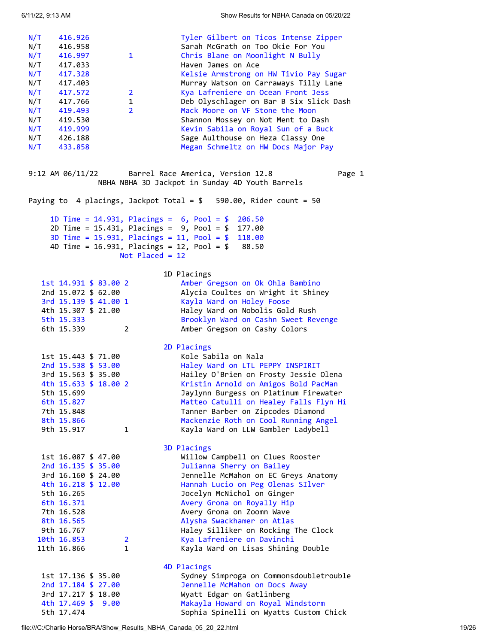<span id="page-18-0"></span>

| N/T<br>N/T<br>N/T<br>N/T<br>N/T<br>N/T<br>N/T<br>N/T<br>N/T<br>N/T<br>N/T<br>N/T | 416.926<br>416.958<br>416.997<br>417.033<br>417.328<br>417.403<br>417.572<br>417.766<br>419.493<br>419.530<br>419.999<br>N/T 426.188<br>433.858 | $\mathbf{1}$<br>$\overline{2}$<br>1<br>$\overline{2}$ | Tyler Gilbert on Ticos Intense Zipper<br>Sarah McGrath on Too Okie For You<br>Chris Blane on Moonlight N Bully<br>Haven James on Ace<br>Kelsie Armstrong on HW Tivio Pay Sugar<br>Murray Watson on Carraways Tilly Lane<br>Kya Lafreniere on Ocean Front Jess<br>Deb Olyschlager on Bar B Six Slick Dash<br>Mack Moore on VF Stone the Moon<br>Shannon Mossey on Not Ment to Dash<br>Kevin Sabila on Royal Sun of a Buck<br>Sage Aulthouse on Heza Classy One<br>Megan Schmeltz on HW Docs Major Pay |
|----------------------------------------------------------------------------------|-------------------------------------------------------------------------------------------------------------------------------------------------|-------------------------------------------------------|------------------------------------------------------------------------------------------------------------------------------------------------------------------------------------------------------------------------------------------------------------------------------------------------------------------------------------------------------------------------------------------------------------------------------------------------------------------------------------------------------|
|                                                                                  | $9:12$ AM $06/11/22$                                                                                                                            |                                                       | Barrel Race America, Version 12.8<br>Page 1<br>NBHA NBHA 3D Jackpot in Sunday 4D Youth Barrels                                                                                                                                                                                                                                                                                                                                                                                                       |
|                                                                                  |                                                                                                                                                 |                                                       | Paying to 4 placings, Jackpot Total = $$590.00$ , Rider count = 50                                                                                                                                                                                                                                                                                                                                                                                                                                   |
|                                                                                  |                                                                                                                                                 |                                                       | 1D Time = $14.931$ , Placings = $6$ , Pool = \$<br>206.50<br>2D Time = $15.431$ , Placings = $9$ , Pool = \$<br>177.00                                                                                                                                                                                                                                                                                                                                                                               |
|                                                                                  |                                                                                                                                                 |                                                       | 3D Time = $15.931$ , Placings = $11$ , Pool = \$<br>118.00                                                                                                                                                                                                                                                                                                                                                                                                                                           |
|                                                                                  |                                                                                                                                                 | Not Placed = $12$                                     | 4D Time = $16.931$ , Placings = $12$ , Pool = \$<br>88.50                                                                                                                                                                                                                                                                                                                                                                                                                                            |
|                                                                                  |                                                                                                                                                 |                                                       |                                                                                                                                                                                                                                                                                                                                                                                                                                                                                                      |
|                                                                                  | 1st 14.931 \$ 83.00 2                                                                                                                           |                                                       | 1D Placings<br>Amber Gregson on Ok Ohla Bambino                                                                                                                                                                                                                                                                                                                                                                                                                                                      |
|                                                                                  | 2nd 15.072 \$ 62.00                                                                                                                             |                                                       | Alycia Coultes on Wright it Shiney                                                                                                                                                                                                                                                                                                                                                                                                                                                                   |
|                                                                                  | 3rd 15.139 \$ 41.00 1                                                                                                                           |                                                       | Kayla Ward on Holey Foose                                                                                                                                                                                                                                                                                                                                                                                                                                                                            |
|                                                                                  | 4th 15.307 \$ 21.00                                                                                                                             |                                                       | Haley Ward on Nobolis Gold Rush                                                                                                                                                                                                                                                                                                                                                                                                                                                                      |
|                                                                                  | 5th 15.333                                                                                                                                      |                                                       | Brooklyn Ward on Cashn Sweet Revenge                                                                                                                                                                                                                                                                                                                                                                                                                                                                 |
|                                                                                  | 6th 15.339                                                                                                                                      | $\mathbf{2}^{\prime}$                                 | Amber Gregson on Cashy Colors                                                                                                                                                                                                                                                                                                                                                                                                                                                                        |
|                                                                                  |                                                                                                                                                 |                                                       | 2D Placings                                                                                                                                                                                                                                                                                                                                                                                                                                                                                          |
|                                                                                  | 1st 15.443 \$ 71.00                                                                                                                             |                                                       | Kole Sabila on Nala                                                                                                                                                                                                                                                                                                                                                                                                                                                                                  |
|                                                                                  | 2nd 15.538 \$ 53.00                                                                                                                             |                                                       | Haley Ward on LTL PEPPY INSPIRIT                                                                                                                                                                                                                                                                                                                                                                                                                                                                     |
|                                                                                  | 3rd 15.563 \$ 35.00                                                                                                                             |                                                       | Hailey O'Brien on Frosty Jessie Olena                                                                                                                                                                                                                                                                                                                                                                                                                                                                |
|                                                                                  | 4th 15.633 \$ 18.00 2                                                                                                                           |                                                       | Kristin Arnold on Amigos Bold PacMan                                                                                                                                                                                                                                                                                                                                                                                                                                                                 |
|                                                                                  | 5th 15.699                                                                                                                                      |                                                       | Jaylynn Burgess on Platinum Firewater                                                                                                                                                                                                                                                                                                                                                                                                                                                                |
|                                                                                  | 6th 15.827                                                                                                                                      |                                                       | Matteo Catulli on Healey Falls Flyn Hi                                                                                                                                                                                                                                                                                                                                                                                                                                                               |
|                                                                                  | 7th 15.848                                                                                                                                      |                                                       | Tanner Barber on Zipcodes Diamond                                                                                                                                                                                                                                                                                                                                                                                                                                                                    |
|                                                                                  | 8th 15.866                                                                                                                                      |                                                       | Mackenzie Roth on Cool Running Angel                                                                                                                                                                                                                                                                                                                                                                                                                                                                 |
|                                                                                  | 9th 15.917                                                                                                                                      | $\mathbf{1}$                                          | Kayla Ward on LLW Gambler Ladybell                                                                                                                                                                                                                                                                                                                                                                                                                                                                   |
|                                                                                  |                                                                                                                                                 |                                                       | 3D Placings                                                                                                                                                                                                                                                                                                                                                                                                                                                                                          |
|                                                                                  | 1st 16.087 \$ 47.00                                                                                                                             |                                                       | Willow Campbell on Clues Rooster                                                                                                                                                                                                                                                                                                                                                                                                                                                                     |
|                                                                                  | 2nd $16.135 \text{ } $35.00$                                                                                                                    |                                                       | Julianna Sherry on Bailey                                                                                                                                                                                                                                                                                                                                                                                                                                                                            |
|                                                                                  | 3rd 16.160 \$ 24.00                                                                                                                             |                                                       | Jennelle McMahon on EC Greys Anatomy                                                                                                                                                                                                                                                                                                                                                                                                                                                                 |
|                                                                                  | 4th 16.218 \$ 12.00                                                                                                                             |                                                       | Hannah Lucio on Peg Olenas SIlver                                                                                                                                                                                                                                                                                                                                                                                                                                                                    |
|                                                                                  | 5th 16.265                                                                                                                                      |                                                       | Jocelyn McNichol on Ginger                                                                                                                                                                                                                                                                                                                                                                                                                                                                           |
|                                                                                  | 6th 16.371<br>7th 16.528                                                                                                                        |                                                       | Avery Grona on Royally Hip<br>Avery Grona on Zoomn Wave                                                                                                                                                                                                                                                                                                                                                                                                                                              |
|                                                                                  | 8th 16.565                                                                                                                                      |                                                       | Alysha Swackhamer on Atlas                                                                                                                                                                                                                                                                                                                                                                                                                                                                           |
|                                                                                  | 9th 16.767                                                                                                                                      |                                                       | Haley Silliker on Rocking The Clock                                                                                                                                                                                                                                                                                                                                                                                                                                                                  |
|                                                                                  | 10th 16.853                                                                                                                                     | $\overline{2}$                                        | Kya Lafreniere on Davinchi                                                                                                                                                                                                                                                                                                                                                                                                                                                                           |
|                                                                                  | 11th 16.866                                                                                                                                     | 1                                                     | Kayla Ward on Lisas Shining Double                                                                                                                                                                                                                                                                                                                                                                                                                                                                   |
|                                                                                  |                                                                                                                                                 |                                                       |                                                                                                                                                                                                                                                                                                                                                                                                                                                                                                      |
|                                                                                  | 1st 17.136 \$ 35.00                                                                                                                             |                                                       | 4D Placings<br>Sydney Simproga on Commonsdoubletrouble                                                                                                                                                                                                                                                                                                                                                                                                                                               |
|                                                                                  | 2nd 17.184 \$ 27.00                                                                                                                             |                                                       | Jennelle McMahon on Docs Away                                                                                                                                                                                                                                                                                                                                                                                                                                                                        |
|                                                                                  | 3rd 17.217 \$ 18.00                                                                                                                             |                                                       | Wyatt Edgar on Gatlinberg                                                                                                                                                                                                                                                                                                                                                                                                                                                                            |
|                                                                                  | 4th 17.469 \$ 9.00                                                                                                                              |                                                       | Makayla Howard on Royal Windstorm                                                                                                                                                                                                                                                                                                                                                                                                                                                                    |
|                                                                                  | 5th 17.474                                                                                                                                      |                                                       | Sophia Spinelli on Wyatts Custom Chick                                                                                                                                                                                                                                                                                                                                                                                                                                                               |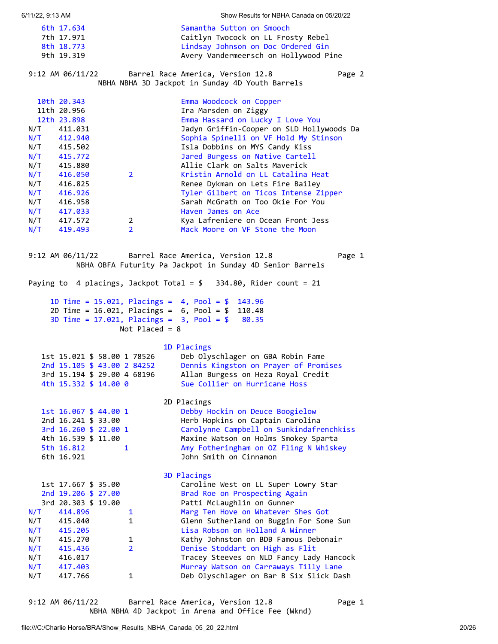<span id="page-19-0"></span>

|            | 6/11/22, 9:13 AM                           |                  | Show Results for NBHA Canada on 05/20/22                                                                                  |
|------------|--------------------------------------------|------------------|---------------------------------------------------------------------------------------------------------------------------|
|            | 6th 17.634                                 |                  | Samantha Sutton on Smooch                                                                                                 |
|            | 7th 17.971                                 |                  | Caitlyn Twocock on LL Frosty Rebel                                                                                        |
|            | 8th 18.773                                 |                  | Lindsay Johnson on Doc Ordered Gin                                                                                        |
|            | 9th 19.319                                 |                  | Avery Vandermeersch on Hollywood Pine                                                                                     |
|            | 9:12 AM 06/11/22                           |                  | Page 2<br>Barrel Race America, Version 12.8<br>NBHA NBHA 3D Jackpot in Sunday 4D Youth Barrels                            |
|            |                                            |                  |                                                                                                                           |
|            | 10th 20.343                                |                  | Emma Woodcock on Copper                                                                                                   |
|            | 11th 20.956                                |                  | Ira Marsden on Ziggy                                                                                                      |
|            | 12th 23.898                                |                  | Emma Hassard on Lucky I Love You                                                                                          |
| N/T        | 411.031                                    |                  | Jadyn Griffin-Cooper on SLD Hollywoods Da                                                                                 |
| N/T        | 412.940                                    |                  | Sophia Spinelli on VF Hold My Stinson                                                                                     |
|            | N/T 415.502<br>N/T 415.772                 |                  | Isla Dobbins on MYS Candy Kiss                                                                                            |
|            |                                            |                  | Jared Burgess on Native Cartell                                                                                           |
| N/T<br>N/T | 415.880                                    |                  | Allie Clark on Salts Maverick<br>Kristin Arnold on LL Catalina Heat                                                       |
| N/T        | 416.050<br>416.825                         | $2^{\circ}$      |                                                                                                                           |
| N/T        | 416.926                                    |                  | Renee Dykman on Lets Fire Bailey<br>Tyler Gilbert on Ticos Intense Zipper                                                 |
| N/T        | 416.958                                    |                  | Sarah McGrath on Too Okie For You                                                                                         |
| N/T        | 417.033                                    |                  | Haven James on Ace                                                                                                        |
| N/T        | 417.572                                    | $\overline{2}$   | Kya Lafreniere on Ocean Front Jess                                                                                        |
| N/T        | 419.493                                    | $\overline{2}$   | Mack Moore on VF Stone the Moon                                                                                           |
|            |                                            |                  |                                                                                                                           |
|            |                                            |                  | 9:12 AM 06/11/22 Barrel Race America, Version 12.8<br>Page 1<br>NBHA OBFA Futurity Pa Jackpot in Sunday 4D Senior Barrels |
|            |                                            |                  | Paying to 4 placings, Jackpot Total = $$334.80$ , Rider count = 21                                                        |
|            |                                            |                  |                                                                                                                           |
|            |                                            |                  | 1D Time = $15.021$ , Placings = $4$ , Pool = $$$ 143.96                                                                   |
|            |                                            |                  |                                                                                                                           |
|            |                                            |                  | 2D Time = $16.021$ , Placings = $6$ , Pool = $$$ 110.48                                                                   |
|            |                                            |                  | 3D Time = $17.021$ , Placings = $3$ , Pool = $$80.35$                                                                     |
|            |                                            | Not Placed = $8$ |                                                                                                                           |
|            |                                            |                  |                                                                                                                           |
|            |                                            |                  | 1D Placings                                                                                                               |
|            | 1st 15.021 \$ 58.00 1 78526                |                  | Deb Olyschlager on GBA Robin Fame                                                                                         |
|            | 2nd 15.105 \$ 43.00 2 84252                |                  | Dennis Kingston on Prayer of Promises                                                                                     |
|            | 3rd 15.194 \$ 29.00 4 68196                |                  | Allan Burgess on Heza Royal Credit                                                                                        |
|            | 4th 15.332 \$ 14.00 0                      |                  | Sue Collier on Hurricane Hoss                                                                                             |
|            |                                            |                  | 2D Placings                                                                                                               |
|            | 1st 16.067 \$ 44.00 1                      |                  | Debby Hockin on Deuce Boogielow                                                                                           |
|            | 2nd 16.241 \$ 33.00                        |                  | Herb Hopkins on Captain Carolina                                                                                          |
|            | 3rd 16.260 \$ 22.00 1                      |                  | Carolynne Campbell on Sunkindafrenchkiss                                                                                  |
|            | 4th 16.539 \$ 11.00                        |                  | Maxine Watson on Holms Smokey Sparta                                                                                      |
|            | 5th 16.812                                 | $\mathbf{1}$     | Amy Fotheringham on OZ Fling N Whiskey                                                                                    |
|            | 6th 16.921                                 |                  | John Smith on Cinnamon                                                                                                    |
|            |                                            |                  |                                                                                                                           |
|            |                                            |                  | 3D Placings                                                                                                               |
|            | 1st 17.667 \$ 35.00                        |                  | Caroline West on LL Super Lowry Star                                                                                      |
|            | 2nd 19.206 \$ 27.00<br>3rd 20.303 \$ 19.00 |                  | Brad Roe on Prospecting Again<br>Patti McLaughlin on Gunner                                                               |
| N/T        | 414.896                                    | $\mathbf{1}$     | Marg Ten Hove on Whatever Shes Got                                                                                        |
| N/T        | 415.040                                    | 1                | Glenn Sutherland on Buggin For Some Sun                                                                                   |
| N/T        | 415.205                                    |                  | Lisa Robson on Holland A Winner                                                                                           |
| N/T        | 415.270                                    | 1                | Kathy Johnston on BDB Famous Debonair                                                                                     |
| N/T        | 415.436                                    | $\overline{2}$   | Denise Stoddart on High as Flit                                                                                           |
| N/T        | 416.017                                    |                  | Tracey Steeves on NLD Fancy Lady Hancock                                                                                  |
| N/T<br>N/T | 417.403<br>417.766                         | $\mathbf{1}$     | Murray Watson on Carraways Tilly Lane<br>Deb Olyschlager on Bar B Six Slick Dash                                          |

<span id="page-19-1"></span>9:12 AM 06/11/22 Barrel Race America, Version 12.8 Page 1 NBHA NBHA 4D Jackpot in Arena and Office Fee (Wknd)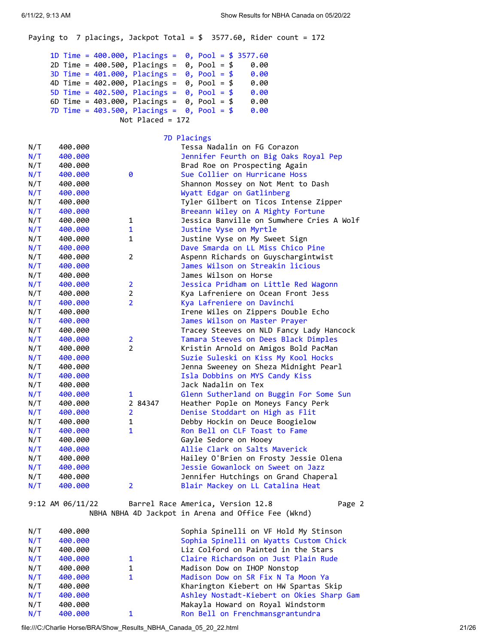Paying to 7 placings, Jackpot Total =  $$3577.60$ , Rider count = 172 1D Time = 400.000, Placings = 0, Pool = \$ 3577.60 2D Time = 400.500, Placings = 0, Pool = \$ 0.00 3D Time = 401.000, Placings = 0, Pool = \$ 0.00 4D Time = 402.000, Placings = 0, Pool = \$ 0.00 5D Time =  $402.500$ , Placings =  $0$ , Pool =  $$ 0.00$  6D Time = 403.000, Placings = 0, Pool = \$ 0.00 7D Time = 403.500, Placings = 0, Pool = \$ 0.00 Not Placed = 172 7D Placings N/T 400.000 Tessa Nadalin on FG Corazon N/T 400.000 Jennifer Feurth on Big Oaks Royal Pep N/T 400.000 **Brad Roe on Prospecting Again** N/T 400.000 0 Sue Collier on Hurricane Hoss N/T 400.000 Shannon Mossey on Not Ment to Dash N/T 400.000 Wyatt Edgar on Gatlinberg N/T 400.000 Tyler Gilbert on Ticos Intense Zipper N/T 400.000 Breeann Wiley on A Mighty Fortune N/T 400.000 1 Jessica Banville on Sumwhere Cries A Wolf N/T 400.000 1 Justine Vyse on Myrtle N/T 400.000 1 Justine Vyse on My Sweet Sign N/T 400.000 Dave Smarda on LL Miss Chico Pine N/T 400.000 2 Aspenn Richards on Guyschargintwist N/T 400.000 James Wilson on Streakin licious N/T 400.000 James Wilson on Horse N/T 400.000 2 Jessica Pridham on Little Red Wagonn N/T 400.000 2 Kya Lafreniere on Ocean Front Jess N/T 400.000 2 Kya Lafreniere on Davinchi N/T 400.000 **Irene Wiles on Zippers Double Echo** N/T 400.000 James Wilson on Master Prayer N/T 400.000 Tracey Steeves on NLD Fancy Lady Hancock N/T 400.000 2 Tamara Steeves on Dees Black Dimples<br>N/T 400.000 2 Kristin Arnold on Amigos Bold PacMan N/T 400.000 2 Kristin Arnold on Amigos Bold PacMan N/T 400.000 Suzie Suleski on Kiss My Kool Hocks N/T 400.000 Jenna Sweeney on Sheza Midnight Pearl N/T 400.000 1sla Dobbins on MYS Candy Kiss N/T 400.000 Jack Nadalin on Tex N/T 400.000 1 Glenn Sutherland on Buggin For Some Sun N/T 400.000 2 84347 Heather Pople on Moneys Fancy Perk N/T 400.000 2 Denise Stoddart on High as Flit N/T 400.000 1 Debby Hockin on Deuce Boogielow N/T 400.000 1 Ron Bell on CLF Toast to Fame N/T 400.000 Gayle Sedore on Hooey N/T 400.000 Allie Clark on Salts Maverick N/T 400.000 Hailey O'Brien on Frosty Jessie Olena N/T 400.000 Jessie Gowanlock on Sweet on Jazz N/T 400.000 Jennifer Hutchings on Grand Chaperal N/T 400.000 2 Blair Mackey on LL Catalina Heat 9:12 AM 06/11/22 Barrel Race America, Version 12.8 Page 2 NBHA NBHA 4D Jackpot in Arena and Office Fee (Wknd)

| N/T | 400.000 | Sophia Spinelli on VF Hold My Stinson     |
|-----|---------|-------------------------------------------|
| N/T | 400.000 | Sophia Spinelli on Wyatts Custom Chick    |
| N/T | 400.000 | Liz Colford on Painted in the Stars       |
| N/T | 400.000 | Claire Richardson on Just Plain Rude      |
| N/T | 400.000 | Madison Dow on IHOP Nonstop               |
| N/T | 400.000 | Madison Dow on SR Fix N Ta Moon Ya        |
| N/T | 400.000 | Kharington Kiebert on HW Spartas Skip     |
| N/T | 400.000 | Ashley Nostadt-Kiebert on Okies Sharp Gam |
| N/T | 400.000 | Makayla Howard on Royal Windstorm         |
| N/T | 400.000 | Ron Bell on Frenchmansgrantundra          |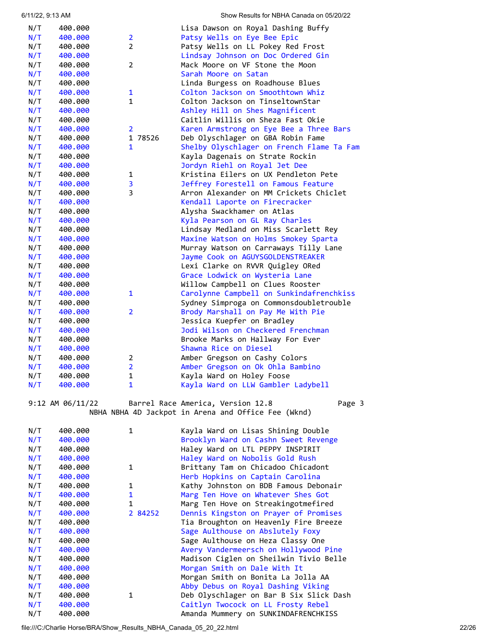| N/T | 400.000 |                | Lisa Dawson on Royal Dashing Buffy        |
|-----|---------|----------------|-------------------------------------------|
| N/T | 400.000 | $\overline{2}$ | Patsy Wells on Eye Bee Epic               |
| N/T | 400.000 | $\overline{2}$ | Patsy Wells on LL Pokey Red Frost         |
| N/T | 400.000 |                | Lindsay Johnson on Doc Ordered Gin        |
| N/T | 400.000 | $\overline{2}$ | Mack Moore on VF Stone the Moon           |
| N/T | 400.000 |                | Sarah Moore on Satan                      |
| N/T | 400.000 |                | Linda Burgess on Roadhouse Blues          |
| N/T | 400.000 | 1              | Colton Jackson on Smoothtown Whiz         |
| N/T | 400.000 | $\mathbf{1}$   | Colton Jackson on TinseltownStar          |
| N/T | 400.000 |                | Ashley Hill on Shes Magnificent           |
| N/T | 400.000 |                | Caitlin Willis on Sheza Fast Okie         |
| N/T | 400.000 | $\overline{2}$ | Karen Armstrong on Eye Bee a Three Bars   |
| N/T | 400.000 | 1 78526        | Deb Olyschlager on GBA Robin Fame         |
| N/T | 400.000 | $\mathbf{1}$   | Shelby Olyschlager on French Flame Ta Fam |
| N/T | 400.000 |                | Kayla Dagenais on Strate Rockin           |
| N/T | 400.000 |                | Jordyn Riehl on Royal Jet Dee             |
| N/T | 400.000 | 1              | Kristina Eilers on UX Pendleton Pete      |
| N/T | 400.000 | 3              | Jeffrey Forestell on Famous Feature       |
| N/T | 400.000 | 3              | Arron Alexander on MM Crickets Chiclet    |
| N/T | 400.000 |                | Kendall Laporte on Firecracker            |
| N/T | 400.000 |                | Alysha Swackhamer on Atlas                |
| N/T | 400.000 |                | Kyla Pearson on GL Ray Charles            |
| N/T | 400.000 |                | Lindsay Medland on Miss Scarlett Rey      |
| N/T | 400.000 |                | Maxine Watson on Holms Smokey Sparta      |
| N/T | 400.000 |                | Murray Watson on Carraways Tilly Lane     |
| N/T | 400.000 |                | Jayme Cook on AGUYSGOLDENSTREAKER         |
| N/T | 400.000 |                | Lexi Clarke on RVVR Quigley ORed          |
| N/T | 400.000 |                | Grace Lodwick on Wysteria Lane            |
| N/T | 400.000 |                | Willow Campbell on Clues Rooster          |
| N/T | 400.000 | 1              | Carolynne Campbell on Sunkindafrenchkiss  |
| N/T | 400.000 |                | Sydney Simproga on Commonsdoubletrouble   |
| N/T | 400.000 | $\overline{2}$ | Brody Marshall on Pay Me With Pie         |
| N/T | 400.000 |                | Jessica Kuepfer on Bradley                |
| N/T | 400.000 |                | Jodi Wilson on Checkered Frenchman        |
| N/T | 400.000 |                | Brooke Marks on Hallway For Ever          |
| N/T | 400.000 |                | Shawna Rice on Diesel                     |
| N/T | 400.000 | $\overline{2}$ | Amber Gregson on Cashy Colors             |
| N/T | 400.000 | $\overline{2}$ | Amber Gregson on Ok Ohla Bambino          |
| N/T | 400.000 | 1              | Kayla Ward on Holey Foose                 |
| N/T | 400.000 | 1              | Kayla Ward on LLW Gambler Ladybell        |

9:12 AM 06/11/22 Barrel Race America, Version 12.8 Page 3 NBHA NBHA 4D Jackpot in Arena and Office Fee (Wknd)

| N/T | 400.000 | 1            | Kayla Ward on Lisas Shining Double      |
|-----|---------|--------------|-----------------------------------------|
| N/T | 400.000 |              | Brooklyn Ward on Cashn Sweet Revenge    |
| N/T | 400.000 |              | Haley Ward on LTL PEPPY INSPIRIT        |
| N/T | 400.000 |              | Haley Ward on Nobolis Gold Rush         |
| N/T | 400.000 | $\mathbf{1}$ | Brittany Tam on Chicadoo Chicadont      |
| N/T | 400.000 |              | Herb Hopkins on Captain Carolina        |
| N/T | 400.000 | 1            | Kathy Johnston on BDB Famous Debonair   |
|     |         |              |                                         |
| N/T | 400.000 | $\mathbf{1}$ | Marg Ten Hove on Whatever Shes Got      |
| N/T | 400.000 | $\mathbf{1}$ | Marg Ten Hove on Streakingotmefired     |
| N/T | 400.000 | 2 84252      | Dennis Kingston on Prayer of Promises   |
| N/T | 400.000 |              | Tia Broughton on Heavenly Fire Breeze   |
| N/T | 400.000 |              | Sage Aulthouse on Abslutely Foxy        |
| N/T | 400.000 |              | Sage Aulthouse on Heza Classy One       |
| N/T | 400.000 |              | Avery Vandermeersch on Hollywood Pine   |
| N/T | 400.000 |              | Madison Ciglen on Sheilwin Tivio Belle  |
| N/T | 400.000 |              | Morgan Smith on Dale With It            |
| N/T | 400.000 |              | Morgan Smith on Bonita La Jolla AA      |
| N/T | 400.000 |              | Abby Debus on Royal Dashing Viking      |
| N/T | 400.000 | 1            | Deb Olyschlager on Bar B Six Slick Dash |
| N/T | 400.000 |              | Caitlyn Twocock on LL Frosty Rebel      |
| N/T | 400.000 |              | Amanda Mummery on SUNKINDAFRENCHKISS    |

file:///C:/Charlie Horse/BRA/Show\_Results\_NBHA\_Canada\_05\_20\_22.html 22/26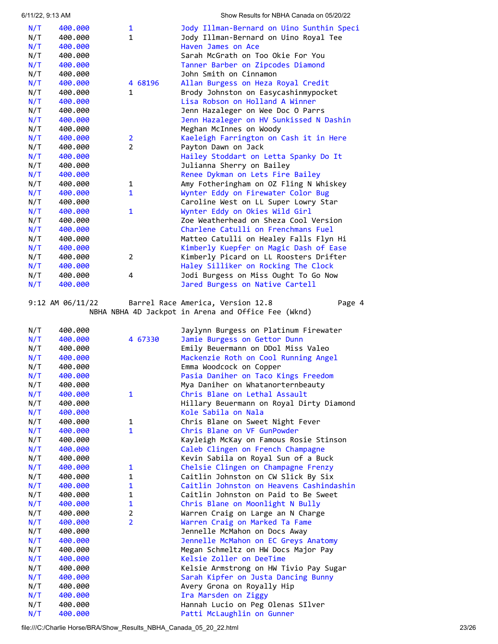| 6/11/22, 9:13 AM |         |                | Show Results for NBHA Canada on 05/20/22  |
|------------------|---------|----------------|-------------------------------------------|
| N/T              | 400.000 | 1              | Jody Illman-Bernard on Uino Sunthin Speci |
| N/T              | 400.000 | $\mathbf{1}$   | Jody Illman-Bernard on Uino Royal Tee     |
| N/T              | 400.000 |                | Haven James on Ace                        |
| N/T              | 400.000 |                | Sarah McGrath on Too Okie For You         |
| N/T              | 400.000 |                | Tanner Barber on Zipcodes Diamond         |
| N/T              | 400.000 |                | John Smith on Cinnamon                    |
| N/T              | 400.000 | 4 68196        | Allan Burgess on Heza Royal Credit        |
| N/T              | 400.000 | $\mathbf{1}$   | Brody Johnston on Easycashinmypocket      |
| N/T              | 400.000 |                | Lisa Robson on Holland A Winner           |
| N/T              | 400.000 |                | Jenn Hazaleger on Wee Doc O Parrs         |
| N/T              | 400.000 |                | Jenn Hazaleger on HV Sunkissed N Dashin   |
| N/T              | 400.000 |                | Meghan McInnes on Woody                   |
| N/T              | 400.000 | 2              | Kaeleigh Farrington on Cash it in Here    |
| N/T              | 400.000 | $\overline{2}$ | Payton Dawn on Jack                       |
| N/T              | 400.000 |                | Hailey Stoddart on Letta Spanky Do It     |
| N/T              | 400.000 |                | Julianna Sherry on Bailey                 |
| N/T              | 400.000 |                | Renee Dykman on Lets Fire Bailey          |
| N/T              | 400.000 | 1              | Amy Fotheringham on OZ Fling N Whiskey    |
| N/T              | 400.000 | $\mathbf{1}$   | Wynter Eddy on Firewater Color Bug        |
| N/T              | 400.000 |                | Caroline West on LL Super Lowry Star      |
| N/T              | 400.000 | 1              | Wynter Eddy on Okies Wild Girl            |
| N/T              | 400.000 |                | Zoe Weatherhead on Sheza Cool Version     |
| N/T              | 400.000 |                | Charlene Catulli on Frenchmans Fuel       |
| N/T              | 400.000 |                | Matteo Catulli on Healey Falls Flyn Hi    |
| N/T              | 400.000 |                | Kimberly Kuepfer on Magic Dash of Ease    |
| N/T              | 400.000 | 2              | Kimberly Picard on LL Roosters Drifter    |
| N/T              | 400.000 |                | Haley Silliker on Rocking The Clock       |
| N/T              | 400.000 | 4              | Jodi Burgess on Miss Ought To Go Now      |
| N/T              | 400.000 |                | Jared Burgess on Native Cartell           |
|                  |         |                |                                           |

9:12 AM 06/11/22 Barrel Race America, Version 12.8 Page 4 NBHA NBHA 4D Jackpot in Arena and Office Fee (Wknd)

| N/T | 400.000 |                | Jaylynn Burgess on Platinum Firewater    |
|-----|---------|----------------|------------------------------------------|
| N/T | 400.000 | 4 67330        | Jamie Burgess on Gettor Dunn             |
| N/T | 400.000 |                | Emily Beuermann on DDol Miss Valeo       |
| N/T | 400.000 |                | Mackenzie Roth on Cool Running Angel     |
| N/T | 400.000 |                | Emma Woodcock on Copper                  |
| N/T | 400.000 |                | Pasia Daniher on Taco Kings Freedom      |
| N/T | 400.000 |                | Mya Daniher on Whatanorternbeauty        |
| N/T | 400.000 | $\mathbf{1}$   | Chris Blane on Lethal Assault            |
| N/T | 400.000 |                | Hillary Beuermann on Royal Dirty Diamond |
| N/T | 400.000 |                | Kole Sabila on Nala                      |
| N/T | 400.000 | 1              | Chris Blane on Sweet Night Fever         |
| N/T | 400.000 | $\mathbf{1}$   | Chris Blane on VF GunPowder              |
| N/T | 400.000 |                | Kayleigh McKay on Famous Rosie Stinson   |
| N/T | 400.000 |                | Caleb Clingen on French Champagne        |
| N/T | 400.000 |                | Kevin Sabila on Royal Sun of a Buck      |
| N/T | 400.000 | $\mathbf{1}$   | Chelsie Clingen on Champagne Frenzy      |
| N/T | 400.000 | $\mathbf{1}$   | Caitlin Johnston on CW Slick By Six      |
| N/T | 400.000 | $\mathbf{1}$   | Caitlin Johnston on Heavens Cashindashin |
| N/T | 400.000 | $\mathbf{1}$   | Caitlin Johnston on Paid to Be Sweet     |
| N/T | 400.000 | $\mathbf{1}$   | Chris Blane on Moonlight N Bully         |
| N/T | 400.000 | $\overline{2}$ | Warren Craig on Large an N Charge        |
| N/T | 400.000 | $\overline{2}$ | Warren Craig on Marked Ta Fame           |
| N/T | 400.000 |                | Jennelle McMahon on Docs Away            |
| N/T | 400.000 |                | Jennelle McMahon on EC Greys Anatomy     |
| N/T | 400.000 |                | Megan Schmeltz on HW Docs Major Pay      |
| N/T | 400.000 |                | Kelsie Zoller on DeeTime                 |
| N/T | 400.000 |                | Kelsie Armstrong on HW Tivio Pay Sugar   |
| N/T | 400.000 |                | Sarah Kipfer on Justa Dancing Bunny      |
| N/T | 400.000 |                | Avery Grona on Royally Hip               |
| N/T | 400.000 |                | Ira Marsden on Ziggy                     |
| N/T | 400.000 |                | Hannah Lucio on Peg Olenas SIlver        |
| N/T | 400.000 |                | Patti McLaughlin on Gunner               |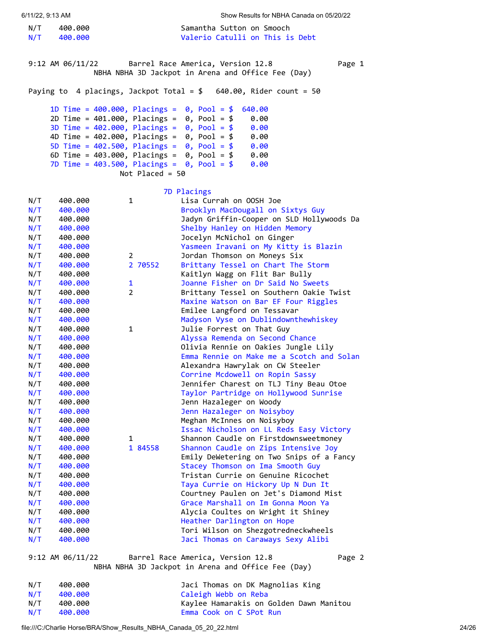N/T 400.000 Samantha Sutton on Smooch N/T 400.000 Valerio Catulli on This is Debt

<span id="page-23-0"></span>9:12 AM 06/11/22 Barrel Race America, Version 12.8 Page 1 NBHA NBHA 3D Jackpot in Arena and Office Fee (Day)

Paying to 4 placings, Jackpot Total = \$ 640.00, Rider count = 50

```
 1D Time = 400.000, Placings = 0, Pool = $ 640.00 
    2D Time = 401.000, Placings = 0, Pool = $ 0.00 
    3D Time = 402.000, Placings = 0, Pool = $ 0.00 
    4D Time = 402.000, Placings = 0, Pool = $ 0.00 
5D Time = 402.500, Placings = 0, Pool = $ 0.00 
6D Time = 403.000, Placings = 0, Pool = $ 0.00 
    7D Time = 403.500, Placings = 0, Pool = $ 0.00 
                   Not Placed = 50
```

|     |         |                | 7D Placings                               |
|-----|---------|----------------|-------------------------------------------|
| N/T | 400.000 | 1              | Lisa Currah on OOSH Joe                   |
| N/T | 400.000 |                | Brooklyn MacDougall on Sixtys Guy         |
| N/T | 400.000 |                | Jadyn Griffin-Cooper on SLD Hollywoods Da |
| N/T | 400.000 |                | Shelby Hanley on Hidden Memory            |
| N/T | 400.000 |                | Jocelyn McNichol on Ginger                |
| N/T | 400.000 |                | Yasmeen Iravani on My Kitty is Blazin     |
| N/T | 400.000 | 2              | Jordan Thomson on Moneys Six              |
| N/T | 400.000 | 2 70552        | Brittany Tessel on Chart The Storm        |
| N/T | 400.000 |                | Kaitlyn Wagg on Flit Bar Bully            |
| N/T | 400.000 | 1              | Joanne Fisher on Dr Said No Sweets        |
| N/T | 400.000 | $\overline{2}$ | Brittany Tessel on Southern Oakie Twist   |
| N/T | 400.000 |                | Maxine Watson on Bar EF Four Riggles      |
| N/T | 400.000 |                | Emilee Langford on Tessavar               |
| N/T | 400.000 |                | Madyson Vyse on Dublindownthewhiskey      |
| N/T | 400.000 | 1              | Julie Forrest on That Guy                 |
| N/T | 400.000 |                | Alyssa Remenda on Second Chance           |
| N/T | 400.000 |                | Olivia Rennie on Oakies Jungle Lily       |
| N/T | 400.000 |                | Emma Rennie on Make me a Scotch and Solan |
| N/T | 400.000 |                | Alexandra Hawrylak on CW Steeler          |
| N/T | 400.000 |                | Corrine Mcdowell on Ropin Sassy           |
| N/T | 400.000 |                | Jennifer Charest on TLJ Tiny Beau Otoe    |
| N/T | 400.000 |                | Taylor Partridge on Hollywood Sunrise     |
| N/T | 400.000 |                | Jenn Hazaleger on Woody                   |
| N/T | 400.000 |                | Jenn Hazaleger on Noisyboy                |
| N/T | 400.000 |                | Meghan McInnes on Noisyboy                |
| N/T | 400.000 |                | Issac Nicholson on LL Reds Easy Victory   |
| N/T | 400.000 | 1              | Shannon Caudle on Firstdownsweetmoney     |
| N/T | 400.000 | 1 84558        | Shannon Caudle on Zips Intensive Joy      |
| N/T | 400.000 |                | Emily DeWetering on Two Snips of a Fancy  |
| N/T | 400.000 |                | Stacey Thomson on Ima Smooth Guy          |
| N/T | 400.000 |                | Tristan Currie on Genuine Ricochet        |
| N/T | 400.000 |                | Taya Currie on Hickory Up N Dun It        |
| N/T | 400.000 |                | Courtney Paulen on Jet's Diamond Mist     |
| N/T | 400.000 |                | Grace Marshall on Im Gonna Moon Ya        |
| N/T | 400.000 |                | Alycia Coultes on Wright it Shiney        |
| N/T | 400.000 |                | Heather Darlington on Hope                |
| N/T | 400.000 |                | Tori Wilson on Shezgotredneckwheels       |
| N/T | 400.000 |                | Jaci Thomas on Caraways Sexy Alibi        |

9:12 AM 06/11/22 Barrel Race America, Version 12.8 Page 2

NBHA NBHA 3D Jackpot in Arena and Office Fee (Day)

| N/T | 400.000 | Jaci Thomas on DK Magnolias King        |
|-----|---------|-----------------------------------------|
| N/T | 400.000 | Caleigh Webb on Reba                    |
| N/T | 400.000 | Kaylee Hamarakis on Golden Dawn Manitou |
| N/T | 400.000 | Emma Cook on C SPot Run                 |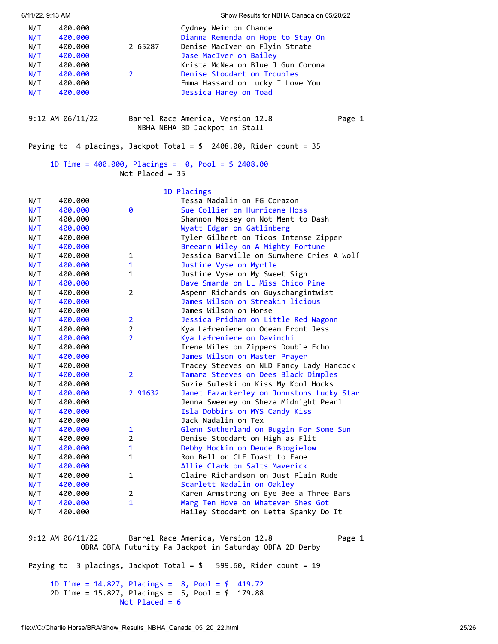| 6/11/22, 9:13 AM                                     |                                                                                      |                           | Show Results for NBHA Canada on 05/20/22                                                                                                                                                                                                                |        |
|------------------------------------------------------|--------------------------------------------------------------------------------------|---------------------------|---------------------------------------------------------------------------------------------------------------------------------------------------------------------------------------------------------------------------------------------------------|--------|
| N/T<br>N/T<br>N/T<br>N/T<br>N/T<br>N/T<br>N/T<br>N/T | 400.000<br>400.000<br>400.000<br>400.000<br>400.000<br>400.000<br>400.000<br>400.000 | 2 65287<br>$\overline{2}$ | Cydney Weir on Chance<br>Dianna Remenda on Hope to Stay On<br>Denise MacIver on Flyin Strate<br>Jase MacIver on Bailey<br>Krista McNea on Blue J Gun Corona<br>Denise Stoddart on Troubles<br>Emma Hassard on Lucky I Love You<br>Jessica Haney on Toad |        |
|                                                      | $9:12$ AM $06/11/22$                                                                 |                           | Barrel Race America, Version 12.8<br>NBHA NBHA 3D Jackpot in Stall                                                                                                                                                                                      | Page 1 |
|                                                      |                                                                                      |                           | Paying to 4 placings, Jackpot Total = $$2408.00$ , Rider count = 35                                                                                                                                                                                     |        |
|                                                      |                                                                                      | Not Placed = $35$         | 1D Time = 400.000, Placings = $0$ , Pool = \$ 2408.00                                                                                                                                                                                                   |        |

<span id="page-24-0"></span>

|     |         |                | 1D Placings                               |
|-----|---------|----------------|-------------------------------------------|
| N/T | 400.000 |                | Tessa Nadalin on FG Corazon               |
| N/T | 400.000 | 0              | Sue Collier on Hurricane Hoss             |
| N/T | 400.000 |                | Shannon Mossey on Not Ment to Dash        |
| N/T | 400.000 |                | Wyatt Edgar on Gatlinberg                 |
| N/T | 400.000 |                | Tyler Gilbert on Ticos Intense Zipper     |
| N/T | 400.000 |                | Breeann Wiley on A Mighty Fortune         |
| N/T | 400.000 | 1              | Jessica Banville on Sumwhere Cries A Wolf |
| N/T | 400.000 | $\mathbf{1}$   | Justine Vyse on Myrtle                    |
| N/T | 400.000 | $\mathbf{1}$   | Justine Vyse on My Sweet Sign             |
| N/T | 400.000 |                | Dave Smarda on LL Miss Chico Pine         |
| N/T | 400.000 | $\overline{2}$ | Aspenn Richards on Guyschargintwist       |
| N/T | 400.000 |                | James Wilson on Streakin licious          |
| N/T | 400.000 |                | James Wilson on Horse                     |
| N/T | 400.000 | $\overline{2}$ | Jessica Pridham on Little Red Wagonn      |
| N/T | 400.000 | $\overline{2}$ | Kya Lafreniere on Ocean Front Jess        |
| N/T | 400.000 | $\overline{2}$ | Kya Lafreniere on Davinchi                |
| N/T | 400.000 |                | Irene Wiles on Zippers Double Echo        |
| N/T | 400.000 |                | James Wilson on Master Prayer             |
| N/T | 400.000 |                | Tracey Steeves on NLD Fancy Lady Hancock  |
| N/T | 400.000 | $\overline{2}$ | Tamara Steeves on Dees Black Dimples      |
| N/T | 400.000 |                | Suzie Suleski on Kiss My Kool Hocks       |
| N/T | 400.000 | 2 91632        | Janet Fazackerley on Johnstons Lucky Star |
| N/T | 400.000 |                | Jenna Sweeney on Sheza Midnight Pearl     |
| N/T | 400.000 |                | Isla Dobbins on MYS Candy Kiss            |
| N/T | 400.000 |                | Jack Nadalin on Tex                       |
| N/T | 400.000 | 1              | Glenn Sutherland on Buggin For Some Sun   |
| N/T | 400.000 | $\overline{2}$ | Denise Stoddart on High as Flit           |
| N/T | 400.000 | $\mathbf{1}$   | Debby Hockin on Deuce Boogielow           |
| N/T | 400.000 | $\mathbf{1}$   | Ron Bell on CLF Toast to Fame             |
| N/T | 400.000 |                | Allie Clark on Salts Maverick             |
| N/T | 400.000 | 1              | Claire Richardson on Just Plain Rude      |
| N/T | 400.000 |                | Scarlett Nadalin on Oakley                |
| N/T | 400.000 | $\overline{2}$ | Karen Armstrong on Eye Bee a Three Bars   |
| N/T | 400.000 | $\mathbf{1}$   | Marg Ten Hove on Whatever Shes Got        |
| N/T | 400.000 |                | Hailey Stoddart on Letta Spanky Do It     |

<span id="page-24-1"></span>9:12 AM 06/11/22 Barrel Race America, Version 12.8 Page 1 OBRA OBFA Futurity Pa Jackpot in Saturday OBFA 2D Derby

Paying to 3 placings, Jackpot Total = \$ 599.60, Rider count = 19

 1D Time = 14.827, Placings = 8, Pool = \$ 419.72 2D Time = 15.827, Placings = 5, Pool = \$ 179.88 Not Placed = 6